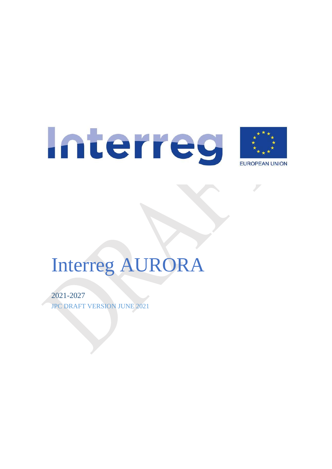

# Interreg AURORA

2021-2027 JPC DRAFT VERSION JUNE 2021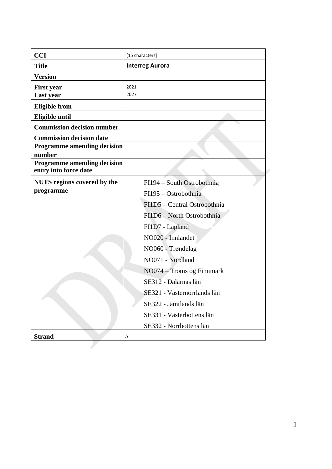| <b>CCI</b>                                                  | [15 characters]              |
|-------------------------------------------------------------|------------------------------|
| <b>Title</b>                                                | <b>Interreg Aurora</b>       |
| <b>Version</b>                                              |                              |
| <b>First year</b>                                           | 2021                         |
| Last year                                                   | 2027                         |
| <b>Eligible from</b>                                        |                              |
| <b>Eligible until</b>                                       |                              |
| <b>Commission decision number</b>                           |                              |
| <b>Commission decision date</b>                             |                              |
| <b>Programme amending decision</b>                          |                              |
| number                                                      |                              |
| <b>Programme amending decision</b><br>entry into force date |                              |
| <b>NUTS</b> regions covered by the                          | FI194 - South Ostrobothnia   |
| programme                                                   | FI195 – Ostrobothnia         |
|                                                             | FI1D5 - Central Ostrobothnia |
|                                                             | FI1D6 - North Ostrobothnia   |
|                                                             | FI1D7 - Lapland              |
|                                                             | NO020 - Innlandet            |
|                                                             | NO060 - Trøndelag            |
|                                                             | NO071 - Nordland             |
|                                                             | NO074 - Troms og Finnmark    |
|                                                             | SE312 - Dalarnas län         |
|                                                             | SE321 - Västernorrlands län  |
|                                                             | SE322 - Jämtlands län        |
|                                                             | SE331 - Västerbottens län    |
|                                                             | SE332 - Norrbottens län      |
|                                                             |                              |
| <b>Strand</b>                                               | A                            |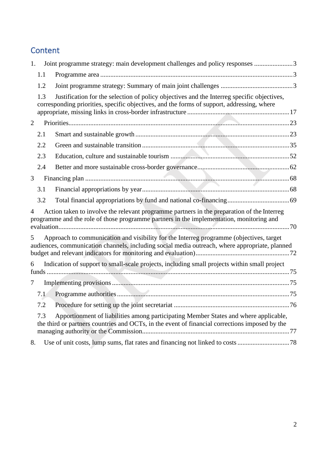# **Content**

| 1.             |     | Joint programme strategy: main development challenges and policy responses 3                                                                                                              |  |
|----------------|-----|-------------------------------------------------------------------------------------------------------------------------------------------------------------------------------------------|--|
|                | 1.1 |                                                                                                                                                                                           |  |
|                | 1.2 |                                                                                                                                                                                           |  |
|                | 1.3 | Justification for the selection of policy objectives and the Interreg specific objectives,<br>corresponding priorities, specific objectives, and the forms of support, addressing, where  |  |
| $\overline{2}$ |     |                                                                                                                                                                                           |  |
|                | 2.1 |                                                                                                                                                                                           |  |
|                | 2.2 |                                                                                                                                                                                           |  |
|                | 2.3 |                                                                                                                                                                                           |  |
|                | 2.4 |                                                                                                                                                                                           |  |
| 3              |     |                                                                                                                                                                                           |  |
|                | 3.1 |                                                                                                                                                                                           |  |
|                | 3.2 |                                                                                                                                                                                           |  |
| $\overline{4}$ |     | Action taken to involve the relevant programme partners in the preparation of the Interreg<br>programme and the role of those programme partners in the implementation, monitoring and    |  |
| 5              |     | Approach to communication and visibility for the Interreg programme (objectives, target<br>audiences, communication channels, including social media outreach, where appropriate, planned |  |
| 6              |     | Indication of support to small-scale projects, including small projects within small project                                                                                              |  |
| 7              |     |                                                                                                                                                                                           |  |
|                | 7.1 |                                                                                                                                                                                           |  |
|                | 7.2 |                                                                                                                                                                                           |  |
|                | 7.3 | Apportionment of liabilities among participating Member States and where applicable,<br>the third or partners countries and OCTs, in the event of financial corrections imposed by the    |  |
| 8.             |     |                                                                                                                                                                                           |  |
|                |     |                                                                                                                                                                                           |  |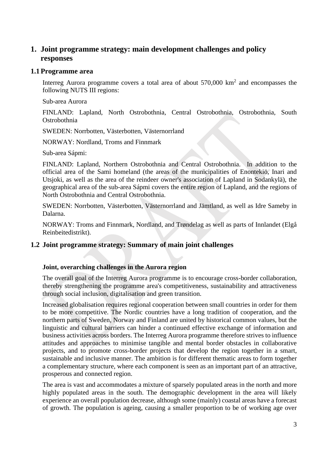# <span id="page-3-0"></span>**1. Joint programme strategy: main development challenges and policy responses**

### <span id="page-3-1"></span>**1.1Programme area**

Interreg Aurora programme covers a total area of about  $570,000 \text{ km}^2$  and encompasses the following NUTS III regions:

Sub-area Aurora

FINLAND: Lapland, North Ostrobothnia, Central Ostrobothnia, Ostrobothnia, South Ostrobothnia

SWEDEN: Norrbotten, Västerbotten, Västernorrland

NORWAY: Nordland, Troms and Finnmark

Sub-area Sápmi:

FINLAND: Lapland, Northern Ostrobothnia and Central Ostrobothnia. In addition to the official area of the Sami homeland (the areas of the municipalities of Enontekiö, Inari and Utsjoki, as well as the area of the reindeer owner's association of Lapland in Sodankylä), the geographical area of the sub-area Sápmi covers the entire region of Lapland, and the regions of North Ostrobothnia and Central Ostrobothnia.

SWEDEN: Norrbotten, Västerbotten, Västernorrland and Jämtland, as well as Idre Sameby in Dalarna.

NORWAY: Troms and Finnmark, Nordland, and Trøndelag as well as parts of Innlandet (Elgå Reinbeitedistrikt).

# <span id="page-3-2"></span>**1.2 Joint programme strategy: Summary of main joint challenges**

### **Joint, overarching challenges in the Aurora region**

The overall goal of the Interreg Aurora programme is to encourage cross-border collaboration, thereby strengthening the programme area's competitiveness, sustainability and attractiveness through social inclusion, digitalisation and green transition.

Increased globalisation requires regional cooperation between small countries in order for them to be more competitive. The Nordic countries have a long tradition of cooperation, and the northern parts of Sweden, Norway and Finland are united by historical common values, but the linguistic and cultural barriers can hinder a continued effective exchange of information and business activities across borders. The Interreg Aurora programme therefore strives to influence attitudes and approaches to minimise tangible and mental border obstacles in collaborative projects, and to promote cross-border projects that develop the region together in a smart, sustainable and inclusive manner. The ambition is for different thematic areas to form together a complementary structure, where each component is seen as an important part of an attractive, prosperous and connected region.

The area is vast and accommodates a mixture of sparsely populated areas in the north and more highly populated areas in the south. The demographic development in the area will likely experience an overall population decrease, although some (mainly) coastal areas have a forecast of growth. The population is ageing, causing a smaller proportion to be of working age over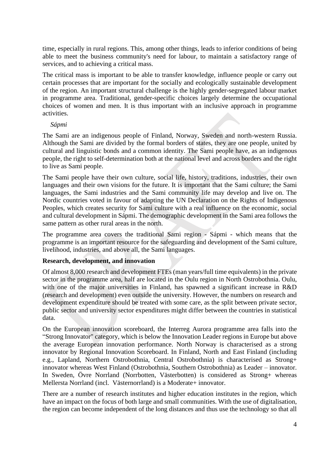time, especially in rural regions. This, among other things, leads to inferior conditions of being able to meet the business community's need for labour, to maintain a satisfactory range of services, and to achieving a critical mass.

The critical mass is important to be able to transfer knowledge, influence people or carry out certain processes that are important for the socially and ecologically sustainable development of the region. An important structural challenge is the highly gender-segregated labour market in programme area. Traditional, gender-specific choices largely determine the occupational choices of women and men. It is thus important with an inclusive approach in programme activities.

### *Sápmi*

The Sami are an indigenous people of Finland, Norway, Sweden and north-western Russia. Although the Sami are divided by the formal borders of states, they are one people, united by cultural and linguistic bonds and a common identity. The Sami people have, as an indigenous people, the right to self-determination both at the national level and across borders and the right to live as Sami people.

The Sami people have their own culture, social life, history, traditions, industries, their own languages and their own visions for the future. It is important that the Sami culture; the Sami languages, the Sami industries and the Sami community life may develop and live on. The Nordic countries voted in favour of adapting the UN Declaration on the Rights of Indigenous Peoples, which creates security for Sami culture with a real influence on the economic, social and cultural development in Sápmi. The demographic development in the Sami area follows the same pattern as other rural areas in the north.

The programme area covers the traditional Sami region - Sápmi - which means that the programme is an important resource for the safeguarding and development of the Sami culture, livelihood, industries, and above all, the Sami languages.

### **Research, development, and innovation**

Of almost 8,000 research and development FTEs (man years/full time equivalents) in the private sector in the programme area, half are located in the Oulu region in North Ostrobothnia. Oulu, with one of the major universities in Finland, has spawned a significant increase in R&D (research and development) even outside the university. However, the numbers on research and development expenditure should be treated with some care, as the split between private sector, public sector and university sector expenditures might differ between the countries in statistical data.

On the European innovation scoreboard, the Interreg Aurora programme area falls into the "Strong Innovator" category, which is below the Innovation Leader regions in Europe but above the average European innovation performance. North Norway is characterised as a strong innovator by Regional Innovation Scoreboard. In Finland, North and East Finland (including e.g., Lapland, Northern Ostrobothnia, Central Ostrobothnia) is characterised as Strong+ innovator whereas West Finland (Ostrobothnia, Southern Ostrobothnia) as Leader – innovator. In Sweden, Övre Norrland (Norrbotten, Västerbotten) is considered as Strong+ whereas Mellersta Norrland (incl. Västernorrland) is a Moderate+ innovator.

There are a number of research institutes and higher education institutes in the region, which have an impact on the focus of both large and small communities. With the use of digitalisation, the region can become independent of the long distances and thus use the technology so that all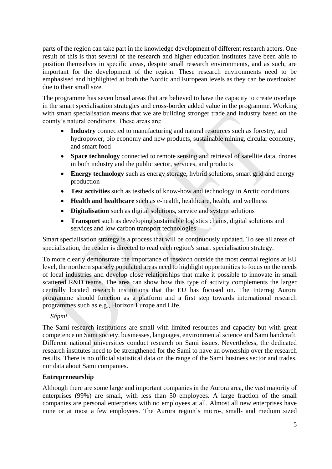parts of the region can take part in the knowledge development of different research actors. One result of this is that several of the research and higher education institutes have been able to position themselves in specific areas, despite small research environments, and as such, are important for the development of the region. These research environments need to be emphasised and highlighted at both the Nordic and European levels as they can be overlooked due to their small size.

The programme has seven broad areas that are believed to have the capacity to create overlaps in the smart specialisation strategies and cross-border added value in the programme. Working with smart specialisation means that we are building stronger trade and industry based on the county's natural conditions. These areas are:

- **Industry** connected to manufacturing and natural resources such as forestry, and hydropower, bio economy and new products, sustainable mining, circular economy, and smart food
- **Space technology** connected to remote sensing and retrieval of satellite data, drones in both industry and the public sector, services, and products
- **Energy technology** such as energy storage, hybrid solutions, smart grid and energy production
- **Test activities** such as testbeds of know-how and technology in Arctic conditions.
- **Health and healthcare** such as e-health, healthcare, health, and wellness
- **Digitalisation** such as digital solutions, service and system solutions
- **Transport** such as developing sustainable logistics chains, digital solutions and services and low carbon transport technologies

Smart specialisation strategy is a process that will be continuously updated. To see all areas of specialisation, the reader is directed to read each region's smart specialisation strategy.

To more clearly demonstrate the importance of research outside the most central regions at EU level, the northern sparsely populated areas need to highlight opportunities to focus on the needs of local industries and develop close relationships that make it possible to innovate in small scattered R&D teams. The area can show how this type of activity complements the larger centrally located research institutions that the EU has focused on. The Interreg Aurora programme should function as a platform and a first step towards international research programmes such as e.g., Horizon Europe and Life.

*Sápmi*

The Sami research institutions are small with limited resources and capacity but with great competence on Sami society, businesses, languages, environmental science and Sami handcraft. Different national universities conduct research on Sami issues. Nevertheless, the dedicated research institutes need to be strengthened for the Sami to have an ownership over the research results. There is no official statistical data on the range of the Sami business sector and trades, nor data about Sami companies.

### **Entrepreneurship**

Although there are some large and important companies in the Aurora area, the vast majority of enterprises (99%) are small, with less than 50 employees. A large fraction of the small companies are personal enterprises with no employees at all. Almost all new enterprises have none or at most a few employees. The Aurora region's micro-, small- and medium sized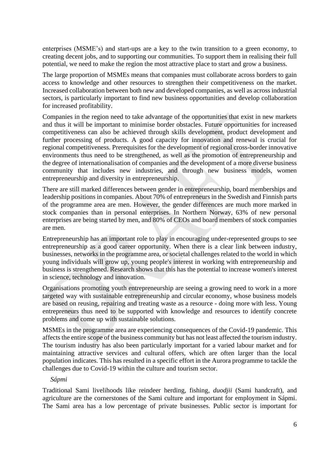enterprises (MSME's) and start-ups are a key to the twin transition to a green economy, to creating decent jobs, and to supporting our communities. To support them in realising their full potential, we need to make the region the most attractive place to start and grow a business.

The large proportion of MSMEs means that companies must collaborate across borders to gain access to knowledge and other resources to strengthen their competitiveness on the market. Increased collaboration between both new and developed companies, as well as across industrial sectors, is particularly important to find new business opportunities and develop collaboration for increased profitability.

Companies in the region need to take advantage of the opportunities that exist in new markets and thus it will be important to minimise border obstacles. Future opportunities for increased competitiveness can also be achieved through skills development, product development and further processing of products. A good capacity for innovation and renewal is crucial for regional competitiveness. Prerequisites for the development of regional cross-border innovative environments thus need to be strengthened, as well as the promotion of entrepreneurship and the degree of internationalisation of companies and the development of a more diverse business community that includes new industries, and through new business models, women entrepreneurship and diversity in entrepreneurship.

There are still marked differences between gender in entrepreneurship, board memberships and leadership positions in companies. About 70% of entrepreneurs in the Swedish and Finnish parts of the programme area are men. However, the gender differences are much more marked in stock companies than in personal enterprises. In Northern Norway, 63% of new personal enterprises are being started by men, and 80% of CEOs and board members of stock companies are men.

Entrepreneurship has an important role to play in encouraging under-represented groups to see entrepreneurship as a good career opportunity. When there is a clear link between industry, businesses, networks in the programme area, or societal challenges related to the world in which young individuals will grow up, young people's interest in working with entrepreneurship and business is strengthened. Research shows that this has the potential to increase women's interest in science, technology and innovation.

Organisations promoting youth entrepreneurship are seeing a growing need to work in a more targeted way with sustainable entrepreneurship and circular economy, whose business models are based on reusing, repairing and treating waste as a resource - doing more with less. Young entrepreneurs thus need to be supported with knowledge and resources to identify concrete problems and come up with sustainable solutions.

MSMEs in the programme area are experiencing consequences of the Covid-19 pandemic. This affects the entire scope of the business community but has not least affected the tourism industry. The tourism industry has also been particularly important for a varied labour market and for maintaining attractive services and cultural offers, which are often larger than the local population indicates. This has resulted in a specific effort in the Aurora programme to tackle the challenges due to Covid-19 within the culture and tourism sector.

### *Sápmi*

Traditional Sami livelihoods like reindeer herding, fishing, *duodjii* (Sami handcraft), and agriculture are the cornerstones of the Sami culture and important for employment in Sápmi. The Sami area has a low percentage of private businesses. Public sector is important for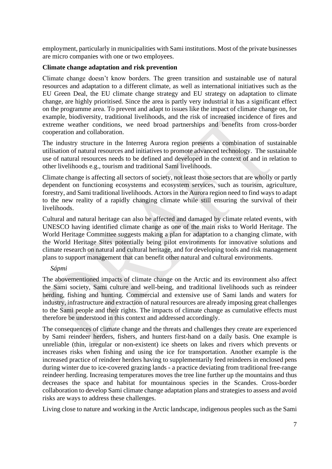employment, particularly in municipalities with Sami institutions. Most of the private businesses are micro companies with one or two employees.

### **Climate change adaptation and risk prevention**

Climate change doesn't know borders. The green transition and sustainable use of natural resources and adaptation to a different climate, as well as international initiatives such as the EU Green Deal, the EU climate change strategy and EU strategy on adaptation to climate change, are highly prioritised. Since the area is partly very industrial it has a significant effect on the programme area. To prevent and adapt to issues like the impact of climate change on, for example, biodiversity, traditional livelihoods, and the risk of increased incidence of fires and extreme weather conditions, we need broad partnerships and benefits from cross-border cooperation and collaboration.

The industry structure in the Interreg Aurora region presents a combination of sustainable utilisation of natural resources and initiatives to promote advanced technology. The sustainable use of natural resources needs to be defined and developed in the context of and in relation to other livelihoods e.g., tourism and traditional Sami livelihoods.

Climate change is affecting all sectors of society, not least those sectors that are wholly or partly dependent on functioning ecosystems and ecosystem services, such as tourism, agriculture, forestry, and Sami traditional livelihoods. Actors in the Aurora region need to find ways to adapt to the new reality of a rapidly changing climate while still ensuring the survival of their livelihoods.

Cultural and natural heritage can also be affected and damaged by climate related events, with UNESCO having identified climate change as one of the main risks to World Heritage. The World Heritage Committee suggests making a plan for adaptation to a changing climate, with the World Heritage Sites potentially being pilot environments for innovative solutions and climate research on natural and cultural heritage, and for developing tools and risk management plans to support management that can benefit other natural and cultural environments.

### *Sápmi*

The abovementioned impacts of climate change on the Arctic and its environment also affect the Sami society, Sami culture and well-being, and traditional livelihoods such as reindeer herding, fishing and hunting. Commercial and extensive use of Sami lands and waters for industry, infrastructure and extraction of natural resources are already imposing great challenges to the Sami people and their rights. The impacts of climate change as cumulative effects must therefore be understood in this context and addressed accordingly.

The consequences of climate change and the threats and challenges they create are experienced by Sami reindeer herders, fishers, and hunters first-hand on a daily basis. One example is unreliable (thin, irregular or non-existent) ice sheets on lakes and rivers which prevents or increases risks when fishing and using the ice for transportation. Another example is the increased practice of reindeer herders having to supplementarily feed reindeers in enclosed pens during winter due to ice-covered grazing lands - a practice deviating from traditional free-range reindeer herding. Increasing temperatures moves the tree line further up the mountains and thus decreases the space and habitat for mountainous species in the Scandes. Cross-border collaboration to develop Sami climate change adaptation plans and strategies to assess and avoid risks are ways to address these challenges.

Living close to nature and working in the Arctic landscape, indigenous peoples such as the Sami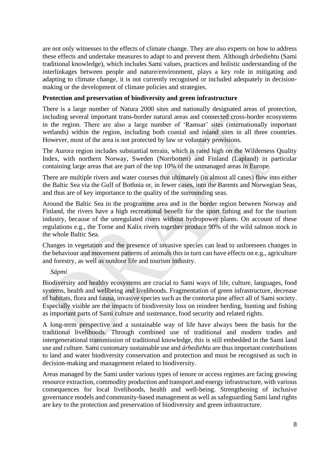are not only witnesses to the effects of climate change. They are also experts on how to address these effects and undertake measures to adapt to and prevent them. Although *árbediehtu* (Sami traditional knowledge), which includes Sami values, practices and holistic understanding of the interlinkages between people and nature/environment, plays a key role in mitigating and adapting to climate change, it is not currently recognised or included adequately in decisionmaking or the development of climate policies and strategies.

### **Protection and preservation of biodiversity and green infrastructure**

There is a large number of Natura 2000 sites and nationally designated areas of protection, including several important trans-border natural areas and connected cross-border ecosystems in the region. There are also a large number of 'Ramsar' sites (internationally important wetlands) within the region, including both coastal and inland sites in all three countries. However, most of the area is not protected by law or voluntary provisions.

The Aurora region includes substantial terrain, which is rated high on the Wilderness Quality Index, with northern Norway, Sweden (Norrbotten) and Finland (Lapland) in particular containing large areas that are part of the top 10% of the unmanaged areas in Europe.

There are multiple rivers and water courses that ultimately (in almost all cases) flow into either the Baltic Sea via the Gulf of Bothnia or, in fewer cases, into the Barents and Norwegian Seas, and thus are of key importance to the quality of the surrounding seas.

Around the Baltic Sea in the programme area and in the border region between Norway and Finland, the rivers have a high recreational benefit for the sport fishing and for the tourism industry, because of the unregulated rivers without hydropower plants. On account of these regulations e.g., the Torne and Kalix rivers together produce 90% of the wild salmon stock in the whole Baltic Sea.

Changes in vegetation and the presence of invasive species can lead to unforeseen changes in the behaviour and movement patterns of animals this in turn can have effects on e.g., agriculture and forestry, as well as outdoor life and tourism industry.

*Sápmi*

Biodiversity and healthy ecosystems are crucial to Sami ways of life, culture, languages, food systems, health and wellbeing and livelihoods. Fragmentation of green infrastructure, decrease of habitats, flora and fauna, invasive species such as the contorta pine affect all of Sami society. Especially visible are the impacts of biodiversity loss on reindeer herding, hunting and fishing as important parts of Sami culture and sustenance, food security and related rights.

A long-term perspective and a sustainable way of life have always been the basis for the traditional livelihoods. Through combined use of traditional and modern trades and intergenerational transmission of traditional knowledge, this is still embedded in the Sami land use and culture. Sami customary sustainable use and *árbediehtu* are thus important contributions to land and water biodiversity conservation and protection and must be recognised as such in decision-making and management related to biodiversity.

Areas managed by the Sami under various types of tenure or access regimes are facing growing resource extraction, commodity production and transport and energy infrastructure, with various consequences for local livelihoods, health and well-being. Strengthening of inclusive governance models and community-based management as well as safeguarding Sami land rights are key to the protection and preservation of biodiversity and green infrastructure.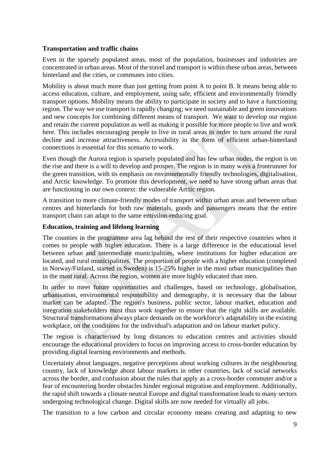### **Transportation and traffic chains**

Even in the sparsely populated areas, most of the population, businesses and industries are concentrated in urban areas. Most of the travel and transport is within these urban areas, between hinterland and the cities, or commutes into cities.

Mobility is about much more than just getting from point A to point B. It means being able to access education, culture, and employment, using safe, efficient and environmentally friendly transport options. Mobility means the ability to participate in society and to have a functioning region. The way we use transport is rapidly changing; we need sustainable and green innovations and new concepts for combining different means of transport. We want to develop our region and retain the current population as well as making it possible for more people to live and work here. This includes encouraging people to live in rural areas in order to turn around the rural decline and increase attractiveness. Accessibility in the form of efficient urban-hinterland connections is essential for this scenario to work.

Even though the Aurora region is sparsely populated and has few urban nodes, the region is on the rise and there is a will to develop and prosper. The region is in many ways a frontrunner for the green transition, with its emphasis on environmentally friendly technologies, digitalisation, and Arctic knowledge. To promote this development, we need to have strong urban areas that are functioning in our own context: the vulnerable Arctic region.

A transition to more climate-friendly modes of transport within urban areas and between urban centres and hinterlands for both raw materials, goods and passengers means that the entire transport chain can adapt to the same emission-reducing goal.

### **Education, training and lifelong learning**

The counties in the programme area lag behind the rest of their respective countries when it comes to people with higher education. There is a large difference in the educational level between urban and intermediate municipalities, where institutions for higher education are located, and rural municipalities. The proportion of people with a higher education (completed in Norway/Finland, started in Sweden) is 15-25% higher in the most urban municipalities than in the most rural. Across the region, women are more highly educated than men.

In order to meet future opportunities and challenges, based on technology, globalisation, urbanisation, environmental responsibility and demography, it is necessary that the labour market can be adapted. The region's business, public sector, labour market, education and integration stakeholders must thus work together to ensure that the right skills are available. Structural transformations always place demands on the workforce's adaptability in the existing workplace, on the conditions for the individual's adaptation and on labour market policy.

The region is characterised by long distances to education centres and activities should encourage the educational providers to focus on improving access to cross-border education by providing digital learning environments and methods.

Uncertainty about languages, negative perceptions about working cultures in the neighbouring country, lack of knowledge about labour markets in other countries, lack of social networks across the border, and confusion about the rules that apply as a cross-border commuter and/or a fear of encountering border obstacles hinder regional migration and employment. Additionally, the rapid shift towards a climate neutral Europe and digital transformation leads to many sectors undergoing technological change. Digital skills are now needed for virtually all jobs.

The transition to a low carbon and circular economy means creating and adapting to new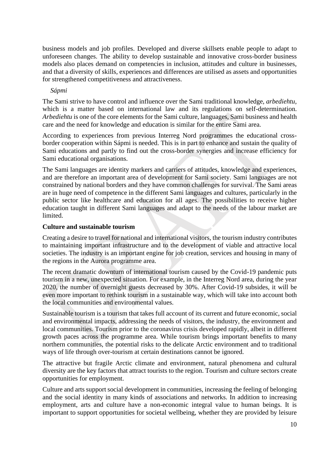business models and job profiles. Developed and diverse skillsets enable people to adapt to unforeseen changes. The ability to develop sustainable and innovative cross-border business models also places demand on competencies in inclusion, attitudes and culture in businesses, and that a diversity of skills, experiences and differences are utilised as assets and opportunities for strengthened competitiveness and attractiveness.

### *Sápmi*

The Sami strive to have control and influence over the Sami traditional knowledge, *arbediehtu*, which is a matter based on international law and its regulations on self-determination. *Arbediehtu* is one of the core elements for the Sami culture, languages, Sami business and health care and the need for knowledge and education is similar for the entire Sami area.

According to experiences from previous Interreg Nord programmes the educational crossborder cooperation within Sápmi is needed. This is in part to enhance and sustain the quality of Sami educations and partly to find out the cross-border synergies and increase efficiency for Sami educational organisations.

The Sami languages are identity markers and carriers of attitudes, knowledge and experiences, and are therefore an important area of development for Sami society. Sami languages are not constrained by national borders and they have common challenges for survival. The Sami areas are in huge need of competence in the different Sami languages and cultures, particularly in the public sector like healthcare and education for all ages. The possibilities to receive higher education taught in different Sami languages and adapt to the needs of the labour market are limited.

### **Culture and sustainable tourism**

Creating a desire to travel for national and international visitors, the tourism industry contributes to maintaining important infrastructure and to the development of viable and attractive local societies. The industry is an important engine for job creation, services and housing in many of the regions in the Aurora programme area.

The recent dramatic downturn of international tourism caused by the Covid-19 pandemic puts tourism in a new, unexpected situation. For example, in the Interreg Nord area, during the year 2020, the number of overnight guests decreased by 30%. After Covid-19 subsides, it will be even more important to rethink tourism in a sustainable way, which will take into account both the local communities and environmental values.

Sustainable tourism is a tourism that takes full account of its current and future economic, social and environmental impacts, addressing the needs of visitors, the industry, the environment and local communities. Tourism prior to the coronavirus crisis developed rapidly, albeit in different growth paces across the programme area. While tourism brings important benefits to many northern communities, the potential risks to the delicate Arctic environment and to traditional ways of life through over-tourism at certain destinations cannot be ignored.

The attractive but fragile Arctic climate and environment, natural phenomena and cultural diversity are the key factors that attract tourists to the region. Tourism and culture sectors create opportunities for employment.

Culture and arts support social development in communities, increasing the feeling of belonging and the social identity in many kinds of associations and networks. In addition to increasing employment, arts and culture have a non-economic integral value to human beings. It is important to support opportunities for societal wellbeing, whether they are provided by leisure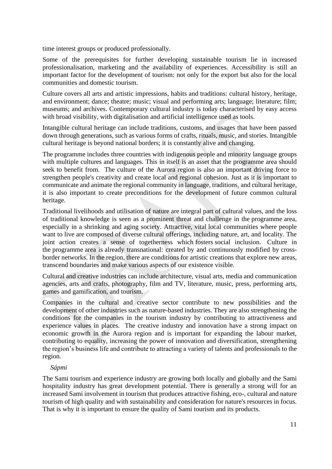time interest groups or produced professionally.

Some of the prerequisites for further developing sustainable tourism lie in increased professionalisation, marketing and the availability of experiences. Accessibility is still an important factor for the development of tourism: not only for the export but also for the local communities and domestic tourism.

Culture covers all arts and artistic impressions, habits and traditions: cultural history, heritage, and environment; dance; theatre; music; visual and performing arts; language; literature; film; museums; and archives. Contemporary cultural industry is today characterised by easy access with broad visibility, with digitalisation and artificial intelligence used as tools.

Intangible cultural heritage can include traditions, customs, and usages that have been passed down through generations, such as various forms of crafts, rituals, music, and stories. Intangible cultural heritage is beyond national borders; it is constantly alive and changing.

The programme includes three countries with indigenous people and minority language groups with multiple cultures and languages. This in itself is an asset that the programme area should seek to benefit from. The culture of the Aurora region is also an important driving force to strengthen people's creativity and create local and regional cohesion. Just as it is important to communicate and animate the regional community in language, traditions, and cultural heritage, it is also important to create preconditions for the development of future common cultural heritage.

Traditional livelihoods and utilisation of nature are integral part of cultural values, and the loss of traditional knowledge is seen as a prominent threat and challenge in the programme area, especially in a shrinking and aging society. Attractive, vital local communities where people want to live are composed of diverse cultural offerings, including nature, art, and locality. The joint action creates a sense of togetherness which fosters social inclusion. Culture in the programme area is already transnational: created by and continuously modified by crossborder networks. In the region, there are conditions for artistic creations that explore new areas, transcend boundaries and make various aspects of our existence visible.

Cultural and creative industries can include architecture, visual arts, media and communication agencies, arts and crafts, photography, film and TV, literature, music, press, performing arts, games and gamification, and tourism.

Companies in the cultural and creative sector contribute to new possibilities and the development of other industries such as nature-based industries. They are also strengthening the conditions for the companies in the tourism industry by contributing to attractiveness and experience values in places. The creative industry and innovation have a strong impact on economic growth in the Aurora region and is important for expanding the labour market, contributing to equality, increasing the power of innovation and diversification, strengthening the region's business life and contribute to attracting a variety of talents and professionals to the region.

### *Sápmi*

The Sami tourism and experience industry are growing both locally and globally and the Sami hospitality industry has great development potential. There is generally a strong will for an increased Sami involvement in tourism that produces attractive fishing, eco-, cultural and nature tourism of high quality and with sustainability and consideration for nature's resources in focus. That is why it is important to ensure the quality of Sami tourism and its products.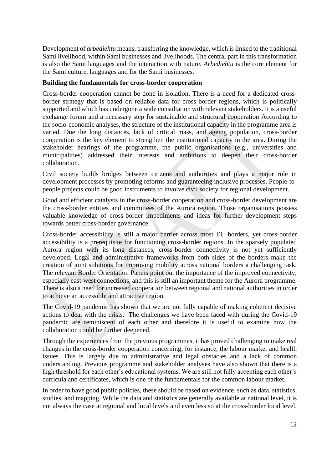Development of *arbediehtu* means, transferring the knowledge, which is linked to the traditional Sami livelihood, within Sami businesses and livelihoods. The central part in this transformation is also the Sami languages and the interaction with nature. *Arbediehtu* is the core element for the Sami culture, languages and for the Sami businesses.

### **Building the fundamentals for cross-border cooperation**

Cross-border cooperation cannot be done in isolation. There is a need for a dedicated crossborder strategy that is based on reliable data for cross-border regions, which is politically supported and which has undergone a wide consultation with relevant stakeholders. It is a useful exchange forum and a necessary step for sustainable and structural cooperation According to the socio-economic analyses, the structure of the institutional capacity in the programme area is varied. Due the long distances, lack of critical mass, and ageing population, cross-border cooperation is the key element to strengthen the institutional capacity in the area. During the stakeholder hearings of the programme, the public organisations (e.g., universities and municipalities) addressed their interests and ambitions to deepen their cross-border collaboration.

Civil society builds bridges between citizens and authorities and plays a major role in development processes by promoting reforms and guaranteeing inclusive processes. People-topeople projects could be good instruments to involve civil society for regional development.

Good and efficient catalysts in the cross-border cooperation and cross-border development are the cross-border entities and committees of the Aurora region. Those organisations possess valuable knowledge of cross-border impediments and ideas for further development steps towards better cross-border governance.

Cross-border accessibility is still a major barrier across most EU borders, yet cross-border accessibility is a prerequisite for functioning cross-border regions. In the sparsely populated Aurora region with its long distances, cross-border connectivity is not yet sufficiently developed. Legal and administrative frameworks from both sides of the borders make the creation of joint solutions for improving mobility across national borders a challenging task. The relevant Border Orientation Papers point out the importance of the improved connectivity, especially east-west connections, and this is still an important theme for the Aurora programme. There is also a need for increased cooperation between regional and national authorities in order to achieve an accessible and attractive region.

The Covid-19 pandemic has shown that we are not fully capable of making coherent decisive actions to deal with the crisis. The challenges we have been faced with during the Covid-19 pandemic are reminiscent of each other and therefore it is useful to examine how the collaboration could be further deepened.

Through the experiences from the previous programmes, it has proved challenging to make real changes in the cross-border cooperation concerning, for instance, the labour market and health issues. This is largely due to administrative and legal obstacles and a lack of common understanding. Previous programme and stakeholder analyses have also shown that there is a high threshold for each other's educational systems. We are still not fully accepting each other's curricula and certificates, which is one of the fundamentals for the common labour market.

In order to have good public policies, these should be based on evidence, such as data, statistics, studies, and mapping. While the data and statistics are generally available at national level, it is not always the case at regional and local levels and even less so at the cross-border local level.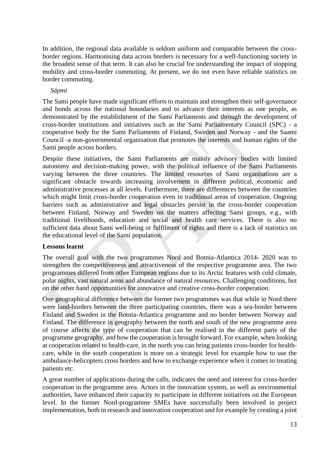In addition, the regional data available is seldom uniform and comparable between the crossborder regions. Harmonising data across borders is necessary for a well-functioning society in the broadest sense of that term. It can also be crucial for understanding the impact of stopping mobility and cross-border commuting. At present, we do not even have reliable statistics on border commuting.

### *Sápmi*

The Sami people have made significant efforts to maintain and strengthen their self-governance and bonds across the national boundaries and to advance their interests as one people, as demonstrated by the establishment of the Sami Parliaments and through the development of cross-border institutions and initiatives such as the Sami Parliamentary Council (SPC) - a cooperative body for the Sami Parliaments of Finland, Sweden and Norway - and the Saami Council -a non-governmental organisation that promotes the interests and human rights of the Sami people across borders.

Despite these initiatives, the Sami Parliaments are mainly advisory bodies with limited autonomy and decision-making power, with the political influence of the Sami Parliaments varying between the three countries. The limited resources of Sami organisations are a significant obstacle towards increasing involvement in different political, economic and administrative processes at all levels. Furthermore, there are differences between the countries which might limit cross-border cooperation even in traditional areas of cooperation. Ongoing barriers such as administrative and legal obstacles persist in the cross-border cooperation between Finland, Norway and Sweden on the matters affecting Sami groups, e.g., with traditional livelihoods, education and social and health care services. There is also no sufficient data about Sami well-being or fulfilment of rights and there is a lack of statistics on the educational level of the Sami population.

### **Lessons learnt**

The overall goal with the two programmes Nord and Botnia-Atlantica 2014- 2020 was to strengthen the competitiveness and attractiveness of the respective programme area. The two programmes differed from other European regions due to its Arctic features with cold climate, polar nights, vast natural areas and abundance of natural resources. Challenging conditions, but on the other hand opportunities for innovative and creative cross-border cooperation.

One geographical difference between the former two programmes was that while in Nord there were land-borders between the three participating countries, there was a sea-border between Finland and Sweden in the Botnia-Atlantica programme and no border between Norway and Finland. The difference in geography between the north and south of the new programme area of course affects the type of cooperation that can be realised in the different parts of the programme geography, and how the cooperation is brought forward. For example, when looking at cooperation related to health-care, in the north you can bring patients cross-border for healthcare, while in the south cooperation is more on a strategic level for example how to use the ambulance-helicopters cross borders and how to exchange experience when it comes to treating patients etc.

A great number of applications during the calls, indicates the need and interest for cross-border cooperation in the programme area. Actors in the innovation system, as well as environmental authorities, have enhanced their capacity to participate in different initiatives on the European level. In the former Nord-programme SMEs have successfully been involved in project implementation, both in research and innovation cooperation and for example by creating a joint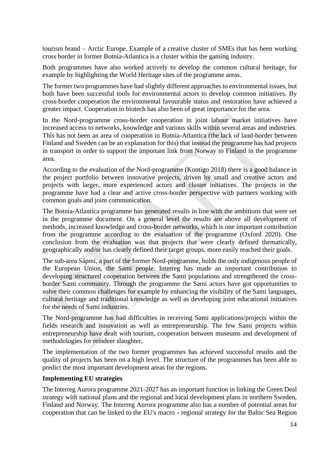tourism brand – Arctic Europe. Example of a creative cluster of SMEs that has been working cross border in former Botnia-Atlantica is a cluster within the gaming industry.

Both programmes have also worked actively to develop the common cultural heritage, for example by highlighting the World Heritage sites of the programme areas.

The former two programmes have had slightly different approaches to environmental issues, but both have been successful tools for environmental actors to develop common initiatives. By cross-border cooperation the environmental favourable status and restoration have achieved a greater impact. Cooperation in biotech has also been of great importance for the area.

In the Nord-programme cross-border cooperation in joint labour market initiatives have increased access to networks, knowledge and various skills within several areas and industries. This has not been an area of cooperation in Botnia-Atlantica (the lack of land-border between Finland and Sweden can be an explanation for this) that instead the programme has had projects in transport in order to support the important link from Norway to Finland in the programme area.

According to the evaluation of the Nord-programme (Kontigo 2018) there is a good balance in the project portfolio between innovative projects, driven by small and creative actors and projects with larger, more experienced actors and cluster initiatives. The projects in the programme have had a clear and active cross-border perspective with partners working with common goals and joint communication.

The Botnia-Atlantica programme has generated results in line with the ambitions that were set in the programme document. On a general level the results are above all development of methods, increased knowledge and cross-border networks, which is one important contribution from the programme according to the evaluation of the programme (Oxford 2020). One conclusion from the evaluation was that projects that were clearly defined thematically, geographically and/or has clearly defined their target groups, more easily reached their goals.

The sub-area Sápmi, a part of the former Nord-programme, holds the only indigenous people of the European Union, the Sami people. Interreg has made an important contribution to developing structured cooperation between the Sami populations and strengthened the crossborder Sami community. Through the programme the Sami actors have got opportunities to solve their common challenges for example by enhancing the visibility of the Sami languages, cultural heritage and traditional knowledge as well as developing joint educational initiatives for the needs of Sami industries.

The Nord-programme has had difficulties in receiving Sami applications/projects within the fields research and innovation as well as entrepreneurship. The few Sami projects within entrepreneurship have dealt with tourism, cooperation between museums and development of methodologies for reindeer slaughter.

The implementation of the two former programmes has achieved successful results and the quality of projects has been on a high level. The structure of the programmes has been able to predict the most important development areas for the regions.

### **Implementing EU strategies**

The Interreg Aurora programme 2021-2027 has an important function in linking the Green Deal strategy with national plans and the regional and local development plans in northern Sweden, Finland and Norway. The Interreg Aurora programme also has a number of potential areas for cooperation that can be linked to the EU's macro - regional strategy for the Baltic Sea Region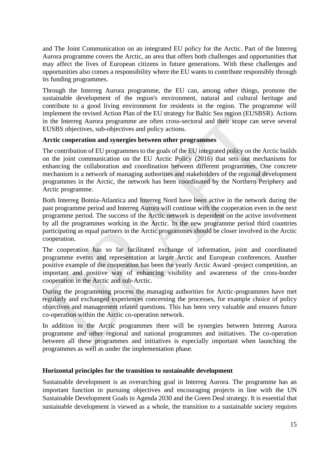and The Joint Communication on an integrated EU policy for the Arctic. Part of the Interreg Aurora programme covers the Arctic, an area that offers both challenges and opportunities that may affect the lives of European citizens in future generations. With these challenges and opportunities also comes a responsibility where the EU wants to contribute responsibly through its funding programmes.

Through the Interreg Aurora programme, the EU can, among other things, promote the sustainable development of the region's environment, natural and cultural heritage and contribute to a good living environment for residents in the region. The programme will implement the revised Action Plan of the EU strategy for Baltic Sea region (EUSBSR). Actions in the Interreg Aurora programme are often cross-sectoral and their scope can serve several EUSBS objectives, sub-objectives and policy actions.

### **Arctic cooperation and synergies between other programmes**

The contribution of EU programmes to the goals of the EU integrated policy on the Arctic builds on the joint communication on the EU Arctic Policy (2016) that sets out mechanisms for enhancing the collaboration and coordination between different programmes. One concrete mechanism is a network of managing authorities and stakeholders of the regional development programmes in the Arctic, the network has been coordinated by the Northern Periphery and Arctic programme.

Both Interreg Botnia-Atlantica and Interreg Nord have been active in the network during the past programme period and Interreg Aurora will continue with the cooperation even in the next programme period. The success of the Arctic network is dependent on the active involvement by all the programmes working in the Arctic. In the new programme period third countries participating as equal partners in the Arctic programmes should be closer involved in the Arctic cooperation.

The cooperation has so far facilitated exchange of information, joint and coordinated programme events and representation at larger Arctic and European conferences. Another positive example of the cooperation has been the yearly Arctic Award -project competition, an important and positive way of enhancing visibility and awareness of the cross-border cooperation in the Arctic and sub-Arctic.

During the programming process the managing authorities for Arctic-programmes have met regularly and exchanged experiences concerning the processes, for example choice of policy objectives and management related questions. This has been very valuable and ensures future co-operation within the Arctic co-operation network.

In addition to the Arctic programmes there will be synergies between Interreg Aurora programme and other regional and national programmes and initiatives. The co-operation between all these programmes and initiatives is especially important when launching the programmes as well as under the implementation phase.

### **Horizontal principles for the transition to sustainable development**

Sustainable development is an overarching goal in Interreg Aurora. The programme has an important function in pursuing objectives and encouraging projects in line with the UN Sustainable Development Goals in Agenda 2030 and the Green Deal strategy. It is essential that sustainable development is viewed as a whole, the transition to a sustainable society requires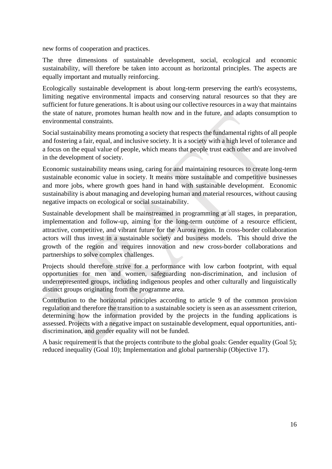new forms of cooperation and practices.

The three dimensions of sustainable development, social, ecological and economic sustainability, will therefore be taken into account as horizontal principles. The aspects are equally important and mutually reinforcing.

Ecologically sustainable development is about long-term preserving the earth's ecosystems, limiting negative environmental impacts and conserving natural resources so that they are sufficient for future generations. It is about using our collective resources in a way that maintains the state of nature, promotes human health now and in the future, and adapts consumption to environmental constraints.

Social sustainability means promoting a society that respects the fundamental rights of all people and fostering a fair, equal, and inclusive society. It is a society with a high level of tolerance and a focus on the equal value of people, which means that people trust each other and are involved in the development of society.

Economic sustainability means using, caring for and maintaining resources to create long-term sustainable economic value in society. It means more sustainable and competitive businesses and more jobs, where growth goes hand in hand with sustainable development. Economic sustainability is about managing and developing human and material resources, without causing negative impacts on ecological or social sustainability.

Sustainable development shall be mainstreamed in programming at all stages, in preparation, implementation and follow-up, aiming for the long-term outcome of a resource efficient, attractive, competitive, and vibrant future for the Aurora region. In cross-border collaboration actors will thus invest in a sustainable society and business models. This should drive the growth of the region and requires innovation and new cross-border collaborations and partnerships to solve complex challenges.

Projects should therefore strive for a performance with low carbon footprint, with equal opportunities for men and women, safeguarding non-discrimination, and inclusion of underrepresented groups, including indigenous peoples and other culturally and linguistically distinct groups originating from the programme area.

Contribution to the horizontal principles according to article 9 of the common provision regulation and therefore the transition to a sustainable society is seen as an assessment criterion, determining how the information provided by the projects in the funding applications is assessed. Projects with a negative impact on sustainable development, equal opportunities, antidiscrimination, and gender equality will not be funded.

A basic requirement is that the projects contribute to the global goals: Gender equality (Goal 5); reduced inequality (Goal 10); Implementation and global partnership (Objective 17).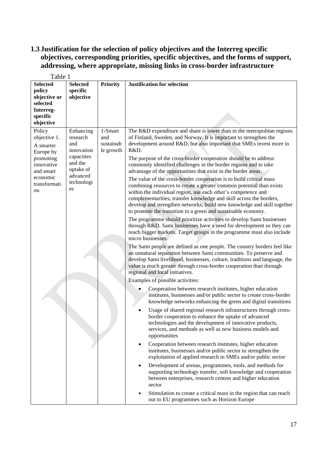# <span id="page-17-0"></span>**1.3 Justification for the selection of policy objectives and the Interreg specific objectives, corresponding priorities, specific objectives, and the forms of support, addressing, where appropriate, missing links in cross-border infrastructure**

| Table 1                                                                                                                    |                                                                                                                  |                                          |                                                                                                                                                                                                                                                                                                                                                                                                                                                                                                                                                                                                                                                                                                                                                                                                                                                                                                                                                                                                                                                                                                                                                                                                                                                                                                                                                                                                                                                                                                                                                                                                                                                                                                                                                                                                                                                                                                                                                                                                                                                                                                                                                                                                                                                                                                                                                                                                                                                                                                                              |
|----------------------------------------------------------------------------------------------------------------------------|------------------------------------------------------------------------------------------------------------------|------------------------------------------|------------------------------------------------------------------------------------------------------------------------------------------------------------------------------------------------------------------------------------------------------------------------------------------------------------------------------------------------------------------------------------------------------------------------------------------------------------------------------------------------------------------------------------------------------------------------------------------------------------------------------------------------------------------------------------------------------------------------------------------------------------------------------------------------------------------------------------------------------------------------------------------------------------------------------------------------------------------------------------------------------------------------------------------------------------------------------------------------------------------------------------------------------------------------------------------------------------------------------------------------------------------------------------------------------------------------------------------------------------------------------------------------------------------------------------------------------------------------------------------------------------------------------------------------------------------------------------------------------------------------------------------------------------------------------------------------------------------------------------------------------------------------------------------------------------------------------------------------------------------------------------------------------------------------------------------------------------------------------------------------------------------------------------------------------------------------------------------------------------------------------------------------------------------------------------------------------------------------------------------------------------------------------------------------------------------------------------------------------------------------------------------------------------------------------------------------------------------------------------------------------------------------------|
| <b>Selected</b><br>policy<br>objective or<br>selected<br>Interreg-<br>specific<br>objective                                | <b>Selected</b><br>specific<br>objective                                                                         | <b>Priority</b>                          | <b>Justification for selection</b>                                                                                                                                                                                                                                                                                                                                                                                                                                                                                                                                                                                                                                                                                                                                                                                                                                                                                                                                                                                                                                                                                                                                                                                                                                                                                                                                                                                                                                                                                                                                                                                                                                                                                                                                                                                                                                                                                                                                                                                                                                                                                                                                                                                                                                                                                                                                                                                                                                                                                           |
| Policy<br>objective 1.<br>A smarter<br>Europe by<br>promoting<br>innovative<br>and smart<br>economic<br>transformati<br>on | Enhancing<br>research<br>and<br>innovation<br>capacities<br>and the<br>uptake of<br>advanced<br>technologi<br>es | 1-Smart<br>and<br>sustainab<br>le growth | The R&D expenditure and share is lower than in the metropolitan regions<br>of Finland, Sweden, and Norway. It is important to strengthen the<br>development around R&D, but also important that SMEs invest more in<br>R&D.<br>The purpose of the cross-border cooperation should be to address<br>commonly identified challenges in the border regions and to take<br>advantage of the opportunities that exist in the border areas.<br>The value of the cross-border cooperation is to build critical mass<br>combining resources to create a greater common potential than exists<br>within the individual region, use each other's competence and<br>complementarities, transfer knowledge and skill across the borders,<br>develop and strengthen networks, build new knowledge and skill together<br>to promote the transition to a green and sustainable economy.<br>The programme should prioritize activities to develop Sami businesses<br>through R&D. Sami businesses have a need for development so they can<br>reach bigger markets. Target groups in the programme must also include<br>micro businesses.<br>The Sami people are defined as one people. The country borders feel like<br>an unnatural separation between Sami communities. To preserve and<br>develop Sami livelihood, businesses, culture, traditions and language, the<br>value is much greater through cross-border cooperation than through<br>regional and local initiatives.<br>Examples of possible activities:<br>Cooperation between research institutes, higher education<br>institutes, businesses and/or public sector to create cross-border<br>knowledge networks enhancing the green and digital transitions<br>Usage of shared regional research infrastructures through cross-<br>border cooperation to enhance the uptake of advanced<br>technologies and the development of innovative products,<br>services, and methods as well as new business models and<br>opportunities<br>Cooperation between research institutes, higher education<br>٠<br>institutes, businesses and/or public sector to strengthen the<br>exploitation of applied research in SMEs and/or public sector<br>Development of arenas, programmes, tools, and methods for<br>$\bullet$<br>supporting technology transfer, soft knowledge and cooperation<br>between enterprises, research centres and higher education<br>sector<br>Stimulation to create a critical mass in the region that can reach<br>out to EU programmes such as Horizon Europe |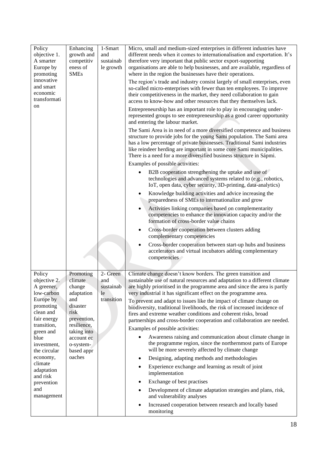| Policy<br>objective 1.<br>A smarter<br>Europe by<br>promoting     | Enhancing<br>growth and<br>competitiv<br>eness of<br><b>SMEs</b> | 1-Smart<br>and<br>sustainab<br>le growth | Micro, small and medium-sized enterprises in different industries have<br>different needs when it comes to internationalisation and exportation. It's<br>therefore very important that public sector export-supporting<br>organisations are able to help businesses, and are available, regardless of<br>where in the region the businesses have their operations.          |
|-------------------------------------------------------------------|------------------------------------------------------------------|------------------------------------------|-----------------------------------------------------------------------------------------------------------------------------------------------------------------------------------------------------------------------------------------------------------------------------------------------------------------------------------------------------------------------------|
| innovative<br>and smart<br>economic<br>transformati               |                                                                  |                                          | The region's trade and industry consist largely of small enterprises, even<br>so-called micro-enterprises with fewer than ten employees. To improve<br>their competitiveness in the market, they need collaboration to gain<br>access to know-how and other resources that they themselves lack.                                                                            |
| on                                                                |                                                                  |                                          | Entrepreneurship has an important role to play in encouraging under-<br>represented groups to see entrepreneurship as a good career opportunity<br>and entering the labour market.                                                                                                                                                                                          |
|                                                                   |                                                                  |                                          | The Sami Area is in need of a more diversified competence and business<br>structure to provide jobs for the young Sami population. The Sami area<br>has a low percentage of private businesses. Traditional Sami industries<br>like reindeer herding are important in some core Sami municipalities.<br>There is a need for a more diversified business structure in Sápmi. |
|                                                                   |                                                                  |                                          | Examples of possible activities:<br>B2B cooperation strengthening the uptake and use of<br>technologies and advanced systems related to (e.g., robotics,<br>IoT, open data, cyber security, 3D-printing, data-analytics)                                                                                                                                                    |
|                                                                   |                                                                  |                                          | Knowledge building activities and advice increasing the<br>preparedness of SMEs to internationalize and grow                                                                                                                                                                                                                                                                |
|                                                                   |                                                                  |                                          | Activities linking companies based on complementarity<br>$\bullet$<br>competencies to enhance the innovation capacity and/or the<br>formation of cross-border value chains                                                                                                                                                                                                  |
|                                                                   |                                                                  |                                          | Cross-border cooperation between clusters adding<br>$\bullet$<br>complementary competencies                                                                                                                                                                                                                                                                                 |
|                                                                   |                                                                  |                                          | Cross-border cooperation between start-up hubs and business<br>٠<br>accelerators and virtual incubators adding complementary<br>competencies                                                                                                                                                                                                                                |
| Policy<br>objective 2.<br>A greener,<br>low-carbon                | Promoting<br>climate<br>change<br>adaptation                     | 2- Green<br>and<br>sustainab<br>le       | Climate change doesn't know borders. The green transition and<br>sustainable use of natural resources and adaptation to a different climate<br>are highly prioritised in the programme area and since the area is partly<br>very industrial it has significant effect on the programme area.                                                                                |
| Europe by<br>promoting<br>clean and<br>fair energy<br>transition, | and<br>disaster<br>risk<br>prevention,<br>resilience,            | transition                               | To prevent and adapt to issues like the impact of climate change on<br>biodiversity, traditional livelihoods, the risk of increased incidence of<br>fires and extreme weather conditions and coherent risks, broad<br>partnerships and cross-border cooperation and collaboration are needed.                                                                               |
| green and<br>blue                                                 | taking into<br>account ec                                        |                                          | Examples of possible activities:<br>Awareness raising and communication about climate change in                                                                                                                                                                                                                                                                             |
| investment,<br>the circular                                       | o-system-<br>based appr                                          |                                          | the programme region, since the northernmost parts of Europe<br>will be more severely affected by climate change                                                                                                                                                                                                                                                            |
| economy,                                                          | oaches                                                           |                                          | Designing, adapting methods and methodologies<br>٠                                                                                                                                                                                                                                                                                                                          |
| climate<br>adaptation<br>and risk                                 |                                                                  |                                          | Experience exchange and learning as result of joint<br>$\bullet$<br>implementation                                                                                                                                                                                                                                                                                          |
| prevention                                                        |                                                                  |                                          | Exchange of best practises<br>٠                                                                                                                                                                                                                                                                                                                                             |
| and<br>management                                                 |                                                                  |                                          | Development of climate adaptation strategies and plans, risk,<br>٠<br>and vulnerability analyses                                                                                                                                                                                                                                                                            |
|                                                                   |                                                                  |                                          | Increased cooperation between research and locally based<br>$\bullet$<br>monitoring                                                                                                                                                                                                                                                                                         |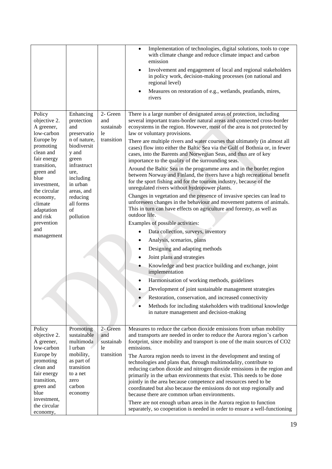|                                                                                                                                                                                                                                                                 |                                                                                                                                                                                                          |                                                   | Implementation of technologies, digital solutions, tools to cope<br>$\bullet$<br>with climate change and reduce climate impact and carbon<br>emission<br>Involvement and engagement of local and regional stakeholders<br>$\bullet$<br>in policy work, decision-making processes (on national and<br>regional level)<br>Measures on restoration of e.g., wetlands, peatlands, mires,<br>٠<br>rivers                                                                                                                                                                                                                                                                                                                                                                                                                                                                                                                                                                                                                                                                                                                                                                                                                                                                                                                                                                                                                                                                                                                                                                                                                                                                          |
|-----------------------------------------------------------------------------------------------------------------------------------------------------------------------------------------------------------------------------------------------------------------|----------------------------------------------------------------------------------------------------------------------------------------------------------------------------------------------------------|---------------------------------------------------|------------------------------------------------------------------------------------------------------------------------------------------------------------------------------------------------------------------------------------------------------------------------------------------------------------------------------------------------------------------------------------------------------------------------------------------------------------------------------------------------------------------------------------------------------------------------------------------------------------------------------------------------------------------------------------------------------------------------------------------------------------------------------------------------------------------------------------------------------------------------------------------------------------------------------------------------------------------------------------------------------------------------------------------------------------------------------------------------------------------------------------------------------------------------------------------------------------------------------------------------------------------------------------------------------------------------------------------------------------------------------------------------------------------------------------------------------------------------------------------------------------------------------------------------------------------------------------------------------------------------------------------------------------------------------|
| Policy<br>objective 2.<br>A greener,<br>low-carbon<br>Europe by<br>promoting<br>clean and<br>fair energy<br>transition,<br>green and<br>blue<br>investment,<br>the circular<br>economy,<br>climate<br>adaptation<br>and risk<br>prevention<br>and<br>management | Enhancing<br>protection<br>and<br>preservatio<br>n of nature,<br>biodiversit<br>y and<br>green<br>infrastruct<br>ure,<br>including<br>in urban<br>areas, and<br>reducing<br>all forms<br>of<br>pollution | 2- Green<br>and<br>sustainab<br>le.<br>transition | There is a large number of designated areas of protection, including<br>several important trans-border natural areas and connected cross-border<br>ecosystems in the region. However, most of the area is not protected by<br>law or voluntary provisions.<br>There are multiple rivers and water courses that ultimately (in almost all<br>cases) flow into either the Baltic Sea via the Gulf of Bothnia or, in fewer<br>cases, into the Barents and Norwegian Seas, and thus are of key<br>importance to the quality of the surrounding seas.<br>Around the Baltic Sea in the programme area and in the border region<br>between Norway and Finland, the rivers have a high recreational benefit<br>for the sport fishing and for the tourism industry, because of the<br>unregulated rivers without hydropower plants.<br>Changes in vegetation and the presence of invasive species can lead to<br>unforeseen changes in the behaviour and movement patterns of animals.<br>This in turn can have effects on agriculture and forestry, as well as<br>outdoor life.<br>Examples of possible activities:<br>Data collection, surveys, inventory<br>$\bullet$<br>Analysis, scenarios, plans<br>Designing and adapting methods<br>Joint plans and strategies<br>٠<br>Knowledge and best practice building and exchange, joint<br>٠<br>implementation<br>Harmonisation of working methods, guidelines<br>$\bullet$<br>Development of joint sustainable management strategies<br>$\bullet$<br>Restoration, conservation, and increased connectivity<br>Methods for including stakeholders with traditional knowledge<br>$\bullet$<br>in nature management and decision-making |
| Policy<br>objective 2.<br>A greener,<br>low-carbon<br>Europe by<br>promoting<br>clean and<br>fair energy<br>transition,<br>green and<br>blue<br>investment,<br>the circular<br>economy,                                                                         | Promoting<br>sustainable<br>multimoda<br>1 urban<br>mobility,<br>as part of<br>transition<br>to a net<br>zero<br>carbon<br>economy                                                                       | 2- Green<br>and<br>sustainab<br>le<br>transition  | Measures to reduce the carbon dioxide emissions from urban mobility<br>and transports are needed in order to reduce the Aurora region's carbon<br>footprint, since mobility and transport is one of the main sources of CO2<br>emissions.<br>The Aurora region needs to invest in the development and testing of<br>technologies and plans that, through multimodality, contribute to<br>reducing carbon dioxide and nitrogen dioxide emissions in the region and<br>primarily in the urban environments that exist. This needs to be done<br>jointly in the area because competence and resources need to be<br>coordinated but also because the emissions do not stop regionally and<br>because there are common urban environments.<br>There are not enough urban areas in the Aurora region to function<br>separately, so cooperation is needed in order to ensure a well-functioning                                                                                                                                                                                                                                                                                                                                                                                                                                                                                                                                                                                                                                                                                                                                                                                    |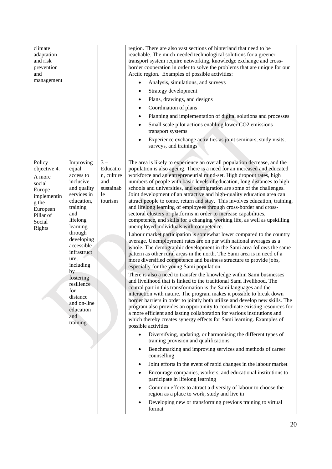| climate<br>adaptation<br>and risk<br>prevention<br>and<br>management                                                      |                                                                                                                                                                                                                                                                                                                   |                                                                      | region. There are also vast sections of hinterland that need to be<br>reachable. The much-needed technological solutions for a greener<br>transport system require networking, knowledge exchange and cross-<br>border cooperation in order to solve the problems that are unique for our<br>Arctic region. Examples of possible activities:<br>Analysis, simulations, and surveys<br>Strategy development<br>Plans, drawings, and designs<br>Coordination of plans<br>Planning and implementation of digital solutions and processes<br>Small scale pilot actions enabling lower CO2 emissions<br>٠<br>transport systems<br>Experience exchange activities as joint seminars, study visits,<br>surveys, and trainings                                                                                                                                                                                                                                                                                                                                                                                                                                                                                                                                                                                                                                                                                                                                                                                                                                                                                                                                                                                                                                                                                                                                                                                                                                                                                                                                                                                                                                                                                                                                                                                                                                                                                                                                                                                     |
|---------------------------------------------------------------------------------------------------------------------------|-------------------------------------------------------------------------------------------------------------------------------------------------------------------------------------------------------------------------------------------------------------------------------------------------------------------|----------------------------------------------------------------------|------------------------------------------------------------------------------------------------------------------------------------------------------------------------------------------------------------------------------------------------------------------------------------------------------------------------------------------------------------------------------------------------------------------------------------------------------------------------------------------------------------------------------------------------------------------------------------------------------------------------------------------------------------------------------------------------------------------------------------------------------------------------------------------------------------------------------------------------------------------------------------------------------------------------------------------------------------------------------------------------------------------------------------------------------------------------------------------------------------------------------------------------------------------------------------------------------------------------------------------------------------------------------------------------------------------------------------------------------------------------------------------------------------------------------------------------------------------------------------------------------------------------------------------------------------------------------------------------------------------------------------------------------------------------------------------------------------------------------------------------------------------------------------------------------------------------------------------------------------------------------------------------------------------------------------------------------------------------------------------------------------------------------------------------------------------------------------------------------------------------------------------------------------------------------------------------------------------------------------------------------------------------------------------------------------------------------------------------------------------------------------------------------------------------------------------------------------------------------------------------------------|
| Policy<br>objective 4.<br>A more<br>social<br>Europe<br>implementin<br>g the<br>European<br>Pillar of<br>Social<br>Rights | Improving<br>equal<br>access to<br>inclusive<br>and quality<br>services in<br>education,<br>training<br>and<br>lifelong<br>learning<br>through<br>developing<br>accessible<br>infrastruct<br>ure,<br>including<br>by<br>fostering<br>resilience<br>for<br>distance<br>and on-line<br>education<br>and<br>training | $3-$<br>Educatio<br>n, culture<br>and<br>sustainab<br>le.<br>tourism | The area is likely to experience an overall population decrease, and the<br>population is also ageing. There is a need for an increased and educated<br>workforce and an entrepreneurial mind-set. High dropout rates, high<br>numbers of people with basic levels of education, long distances to high<br>schools and universities, and outmigration are some of the challenges.<br>Joint development of an attractive and high-quality education area can<br>attract people to come, return and stay. This involves education, training,<br>and lifelong learning of employees through cross-border and cross-<br>sectoral clusters or platforms in order to increase capabilities,<br>competence, and skills for a changing working life, as well as upskilling<br>unemployed individuals with competence.<br>Labour market participation is somewhat lower compared to the country<br>average. Unemployment rates are on par with national averages as a<br>whole. The demographic development in the Sami area follows the same<br>pattern as other rural areas in the north. The Sami area is in need of a<br>more diversified competence and business structure to provide jobs,<br>especially for the young Sami population.<br>There is also a need to transfer the knowledge within Sami businesses<br>and livelihood that is linked to the traditional Sami livelihood. The<br>central part in this transformation is the Sami languages and the<br>interaction with nature. The program makes it possible to break down<br>border barriers in order to jointly both utilize and develop new skills. The<br>program also provides an opportunity to coordinate existing resources for<br>a more efficient and lasting collaboration for various institutions and<br>which thereby creates synergy effects for Sami learning. Examples of<br>possible activities:<br>Diversifying, updating, or harmonising the different types of<br>$\bullet$<br>training provision and qualifications<br>Benchmarking and improving services and methods of career<br>$\bullet$<br>counselling<br>Joint efforts in the event of rapid changes in the labour market<br>٠<br>Encourage companies, workers, and educational institutions to<br>$\bullet$<br>participate in lifelong learning<br>Common efforts to attract a diversity of labour to choose the<br>$\bullet$<br>region as a place to work, study and live in<br>Developing new or transforming previous training to virtual<br>$\bullet$<br>format |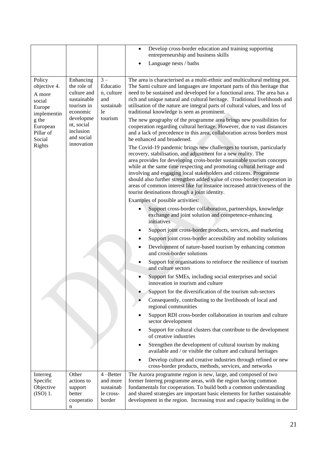|                                                                              |                                                                                               |                                                                       | Develop cross-border education and training supporting<br>$\bullet$<br>entrepreneurship and business skills<br>Language nests / baths                                                                                                                                                                                                                                                                                                                                                                                                                                       |  |  |  |
|------------------------------------------------------------------------------|-----------------------------------------------------------------------------------------------|-----------------------------------------------------------------------|-----------------------------------------------------------------------------------------------------------------------------------------------------------------------------------------------------------------------------------------------------------------------------------------------------------------------------------------------------------------------------------------------------------------------------------------------------------------------------------------------------------------------------------------------------------------------------|--|--|--|
| Policy<br>objective 4.<br>A more<br>social<br>Europe<br>implementin<br>g the | Enhancing<br>the role of<br>culture and<br>sustainable<br>tourism in<br>economic<br>developme | $3 -$<br>Educatio<br>n, culture<br>and<br>sustainab<br>le.<br>tourism | The area is characterised as a multi-ethnic and multicultural melting pot.<br>The Sami culture and languages are important parts of this heritage that<br>need to be sustained and developed for a functional area. The area has a<br>rich and unique natural and cultural heritage. Traditional livelihoods and<br>utilisation of the nature are integral parts of cultural values, and loss of<br>traditional knowledge is seen as prominent.<br>The new geography of the programme area brings new possibilities for                                                     |  |  |  |
| European<br>Pillar of<br>Social                                              | nt, social<br>inclusion<br>and social                                                         |                                                                       | cooperation regarding cultural heritage. However, due to vast distances<br>and a lack of precedence in this area, collaboration across borders must<br>be enhanced and broadened.                                                                                                                                                                                                                                                                                                                                                                                           |  |  |  |
| Rights                                                                       | innovation                                                                                    |                                                                       | The Covid-19 pandemic brings new challenges to tourism, particularly<br>recovery, stabilisation, and adjustment for a new reality. The<br>area provides for developing cross-border sustainable tourism concepts<br>while at the same time respecting and promoting cultural heritage and<br>involving and engaging local stakeholders and citizens. Programme<br>should also further strengthen added value of cross-border cooperation in<br>areas of common interest like for instance increased attractiveness of the<br>tourist destinations through a joint identity. |  |  |  |
|                                                                              |                                                                                               |                                                                       | Examples of possible activities:                                                                                                                                                                                                                                                                                                                                                                                                                                                                                                                                            |  |  |  |
|                                                                              |                                                                                               |                                                                       | Support cross-border collaboration, partnerships, knowledge<br>exchange and joint solution and competence-enhancing<br>initiatives                                                                                                                                                                                                                                                                                                                                                                                                                                          |  |  |  |
|                                                                              |                                                                                               |                                                                       | Support joint cross-border products, services, and marketing                                                                                                                                                                                                                                                                                                                                                                                                                                                                                                                |  |  |  |
|                                                                              |                                                                                               |                                                                       | Support joint cross-border accessibility and mobility solutions<br>$\bullet$                                                                                                                                                                                                                                                                                                                                                                                                                                                                                                |  |  |  |
|                                                                              |                                                                                               |                                                                       | Development of nature-based tourism by enhancing common<br>and cross-border solutions                                                                                                                                                                                                                                                                                                                                                                                                                                                                                       |  |  |  |
|                                                                              |                                                                                               |                                                                       | Support for organisations to reinforce the resilience of tourism<br>and culture sectors                                                                                                                                                                                                                                                                                                                                                                                                                                                                                     |  |  |  |
|                                                                              |                                                                                               |                                                                       | Support for SMEs, including social enterprises and social<br>innovation in tourism and culture                                                                                                                                                                                                                                                                                                                                                                                                                                                                              |  |  |  |
|                                                                              |                                                                                               |                                                                       | Support for the diversification of the tourism sub-sectors                                                                                                                                                                                                                                                                                                                                                                                                                                                                                                                  |  |  |  |
|                                                                              |                                                                                               |                                                                       | Consequently, contributing to the livelihoods of local and<br>regional communities                                                                                                                                                                                                                                                                                                                                                                                                                                                                                          |  |  |  |
|                                                                              |                                                                                               |                                                                       | Support RDI cross-border collaboration in tourism and culture<br>sector development                                                                                                                                                                                                                                                                                                                                                                                                                                                                                         |  |  |  |
|                                                                              |                                                                                               |                                                                       | Support for cultural clusters that contribute to the development<br>of creative industries                                                                                                                                                                                                                                                                                                                                                                                                                                                                                  |  |  |  |
|                                                                              |                                                                                               |                                                                       | Strengthen the development of cultural tourism by making<br>available and / or visible the culture and cultural heritages                                                                                                                                                                                                                                                                                                                                                                                                                                                   |  |  |  |
|                                                                              |                                                                                               |                                                                       | Develop culture and creative industries through refined or new<br>cross-border products, methods, services, and networks                                                                                                                                                                                                                                                                                                                                                                                                                                                    |  |  |  |
| Interreg<br>Specific<br>Objective<br>$(ISO)$ 1.                              | Other<br>actions to<br>support<br>better<br>cooperatio                                        | $4 - Better$<br>and more<br>sustainab<br>le cross-<br>border          | The Aurora programme region is new, large, and composed of two<br>former Interreg programme areas, with the region having common<br>fundamentals for cooperation. To build both a common understanding<br>and shared strategies are important basic elements for further sustainable<br>development in the region. Increasing trust and capacity building in the                                                                                                                                                                                                            |  |  |  |
|                                                                              | n                                                                                             |                                                                       |                                                                                                                                                                                                                                                                                                                                                                                                                                                                                                                                                                             |  |  |  |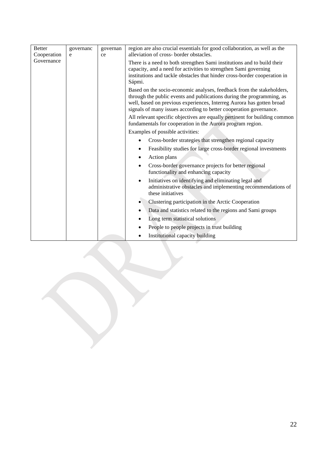| <b>Better</b><br>Cooperation | governanc<br>e | governan<br>ce | region are also crucial essentials for good collaboration, as well as the<br>alleviation of cross- border obstacles.                                                                                                                                                                                                                                                        |
|------------------------------|----------------|----------------|-----------------------------------------------------------------------------------------------------------------------------------------------------------------------------------------------------------------------------------------------------------------------------------------------------------------------------------------------------------------------------|
| Governance                   |                |                | There is a need to both strengthen Sami institutions and to build their<br>capacity, and a need for activities to strengthen Sami governing<br>institutions and tackle obstacles that hinder cross-border cooperation in<br>Sápmi.                                                                                                                                          |
|                              |                |                | Based on the socio-economic analyses, feedback from the stakeholders,<br>through the public events and publications during the programming, as<br>well, based on previous experiences, Interreg Aurora has gotten broad<br>signals of many issues according to better cooperation governance.<br>All relevant specific objectives are equally pertinent for building common |
|                              |                |                | fundamentals for cooperation in the Aurora program region.                                                                                                                                                                                                                                                                                                                  |
|                              |                |                | Examples of possible activities:                                                                                                                                                                                                                                                                                                                                            |
|                              |                |                | Cross-border strategies that strengthen regional capacity                                                                                                                                                                                                                                                                                                                   |
|                              |                |                | Feasibility studies for large cross-border regional investments                                                                                                                                                                                                                                                                                                             |
|                              |                |                | Action plans                                                                                                                                                                                                                                                                                                                                                                |
|                              |                |                | Cross-border governance projects for better regional<br>functionality and enhancing capacity                                                                                                                                                                                                                                                                                |
|                              |                |                | Initiatives on identifying and eliminating legal and<br>$\bullet$<br>administrative obstacles and implementing recommendations of<br>these initiatives                                                                                                                                                                                                                      |
|                              |                |                | Clustering participation in the Arctic Cooperation<br>$\bullet$                                                                                                                                                                                                                                                                                                             |
|                              |                |                | Data and statistics related to the regions and Sami groups<br>٠                                                                                                                                                                                                                                                                                                             |
|                              |                |                | Long term statistical solutions                                                                                                                                                                                                                                                                                                                                             |
|                              |                |                | People to people projects in trust building                                                                                                                                                                                                                                                                                                                                 |
|                              |                |                | Institutional capacity building                                                                                                                                                                                                                                                                                                                                             |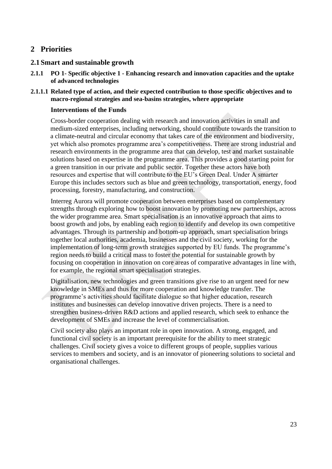# <span id="page-23-0"></span>**2 Priorities**

### <span id="page-23-1"></span>**2.1 Smart and sustainable growth**

- **2.1.1 PO 1- Specific objective 1 - Enhancing research and innovation capacities and the uptake of advanced technologies**
- **2.1.1.1 Related type of action, and their expected contribution to those specific objectives and to macro-regional strategies and sea-basins strategies, where appropriate**

### **Interventions of the Funds**

Cross-border cooperation dealing with research and innovation activities in small and medium-sized enterprises, including networking, should contribute towards the transition to a climate-neutral and circular economy that takes care of the environment and biodiversity, yet which also promotes programme area's competitiveness. There are strong industrial and research environments in the programme area that can develop, test and market sustainable solutions based on expertise in the programme area. This provides a good starting point for a green transition in our private and public sector. Together these actors have both resources and expertise that will contribute to the EU's Green Deal. Under A smarter Europe this includes sectors such as blue and green technology, transportation, energy, food processing, forestry, manufacturing, and construction.

Interreg Aurora will promote cooperation between enterprises based on complementary strengths through exploring how to boost innovation by promoting new partnerships, across the wider programme area. Smart specialisation is an innovative approach that aims to boost growth and jobs, by enabling each region to identify and develop its own competitive advantages. Through its partnership and bottom-up approach, smart specialisation brings together local authorities, academia, businesses and the civil society, working for the implementation of long-term growth strategies supported by EU funds. The programme's region needs to build a critical mass to foster the potential for sustainable growth by focusing on cooperation in innovation on core areas of comparative advantages in line with, for example, the regional smart specialisation strategies.

Digitalisation, new technologies and green transitions give rise to an urgent need for new knowledge in SMEs and thus for more cooperation and knowledge transfer. The programme's activities should facilitate dialogue so that higher education, research institutes and businesses can develop innovative driven projects. There is a need to strengthen business-driven R&D actions and applied research, which seek to enhance the development of SMEs and increase the level of commercialisation.

Civil society also plays an important role in open innovation. A strong, engaged, and functional civil society is an important prerequisite for the ability to meet strategic challenges. Civil society gives a voice to different groups of people, supplies various services to members and society, and is an innovator of pioneering solutions to societal and organisational challenges.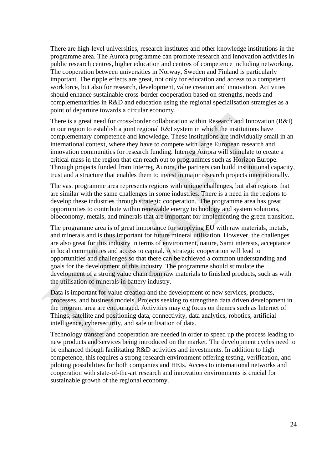There are high-level universities, research institutes and other knowledge institutions in the programme area. The Aurora programme can promote research and innovation activities in public research centres, higher education and centres of competence including networking. The cooperation between universities in Norway, Sweden and Finland is particularly important. The ripple effects are great, not only for education and access to a competent workforce, but also for research, development, value creation and innovation. Activities should enhance sustainable cross-border cooperation based on strengths, needs and complementarities in R&D and education using the regional specialisation strategies as a point of departure towards a circular economy.

There is a great need for cross-border collaboration within Research and Innovation (R&I) in our region to establish a joint regional R&I system in which the institutions have complementary competence and knowledge. These institutions are individually small in an international context, where they have to compete with large European research and innovation communities for research funding. Interreg Aurora will stimulate to create a critical mass in the region that can reach out to programmes such as Horizon Europe. Through projects funded from Interreg Aurora, the partners can build institutional capacity, trust and a structure that enables them to invest in major research projects internationally.

The vast programme area represents regions with unique challenges, but also regions that are similar with the same challenges in some industries. There is a need in the regions to develop these industries through strategic cooperation. The programme area has great opportunities to contribute within renewable energy technology and system solutions, bioeconomy, metals, and minerals that are important for implementing the green transition.

The programme area is of great importance for supplying EU with raw materials, metals, and minerals and is thus important for future mineral utilisation. However, the challenges are also great for this industry in terms of environment, nature, Sami interests, acceptance in local communities and access to capital. A strategic cooperation will lead to opportunities and challenges so that there can be achieved a common understanding and goals for the development of this industry. The programme should stimulate the development of a strong value chain from raw materials to finished products, such as with the utilisation of minerals in battery industry.

Data is important for value creation and the development of new services, products, processes, and business models. Projects seeking to strengthen data driven development in the program area are encouraged. Activities may e.g focus on themes such as Internet of Things, satellite and positioning data, connectivity, data analytics, robotics, artificial intelligence, cybersecurity, and safe utilisation of data.

Technology transfer and cooperation are needed in order to speed up the process leading to new products and services being introduced on the market. The development cycles need to be enhanced though facilitating R&D activities and investments. In addition to high competence, this requires a strong research environment offering testing, verification, and piloting possibilities for both companies and HEIs. Access to international networks and cooperation with state-of-the-art research and innovation environments is crucial for sustainable growth of the regional economy.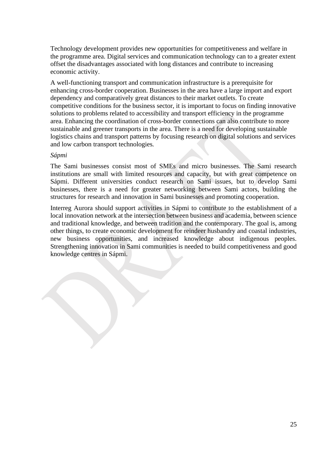Technology development provides new opportunities for competitiveness and welfare in the programme area. Digital services and communication technology can to a greater extent offset the disadvantages associated with long distances and contribute to increasing economic activity.

A well-functioning transport and communication infrastructure is a prerequisite for enhancing cross-border cooperation. Businesses in the area have a large import and export dependency and comparatively great distances to their market outlets. To create competitive conditions for the business sector, it is important to focus on finding innovative solutions to problems related to accessibility and transport efficiency in the programme area. Enhancing the coordination of cross-border connections can also contribute to more sustainable and greener transports in the area. There is a need for developing sustainable logistics chains and transport patterns by focusing research on digital solutions and services and low carbon transport technologies*.*

### *Sápmi*

The Sami businesses consist most of SMEs and micro businesses. The Sami research institutions are small with limited resources and capacity, but with great competence on Sápmi. Different universities conduct research on Sami issues, but to develop Sami businesses, there is a need for greater networking between Sami actors, building the structures for research and innovation in Sami businesses and promoting cooperation.

Interreg Aurora should support activities in Sápmi to contribute to the establishment of a local innovation network at the intersection between business and academia, between science and traditional knowledge, and between tradition and the contemporary. The goal is, among other things, to create economic development for reindeer husbandry and coastal industries, new business opportunities, and increased knowledge about indigenous peoples. Strengthening innovation in Sami communities is needed to build competitiveness and good knowledge centres in Sápmi.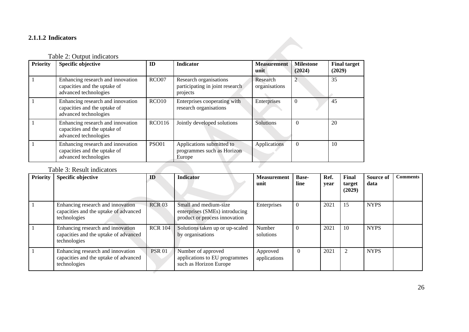# **2.1.1.2 Indicators**

# Table 2: Output indicators

| <b>Priority</b> | <b>Specific objective</b>                                                                  | ID            | <b>Indicator</b>                                                      | <b>Measurement</b><br>unit | <b>Milestone</b><br>(2024) | <b>Final target</b><br>(2029) |
|-----------------|--------------------------------------------------------------------------------------------|---------------|-----------------------------------------------------------------------|----------------------------|----------------------------|-------------------------------|
|                 | Enhancing research and innovation<br>capacities and the uptake of<br>advanced technologies | RCO07         | Research organisations<br>participating in joint research<br>projects | Research<br>organisations  | 2                          | 35                            |
|                 | Enhancing research and innovation<br>capacities and the uptake of<br>advanced technologies | RCO10         | Enterprises cooperating with<br>research organisations                | Enterprises                | $\theta$                   | 45                            |
|                 | Enhancing research and innovation<br>capacities and the uptake of<br>advanced technologies | <b>RCO116</b> | Jointly developed solutions                                           | Solutions                  | $\Omega$                   | 20                            |
|                 | Enhancing research and innovation<br>capacities and the uptake of<br>advanced technologies | <b>PSO01</b>  | Applications submitted to<br>programmes such as Horizon<br>Europe     | Applications               | $\theta$                   | 10                            |

# Table 3: Result indicators

| <b>Priority</b> | <b>Specific objective</b>                                                                  | ID             | <b>Indicator</b>                                                                         | <b>Measurement</b><br>unit | <b>Base-</b><br>line | Ref.<br>vear | Final<br>target<br>(2029) | Source of<br>data | <b>Comments</b> |
|-----------------|--------------------------------------------------------------------------------------------|----------------|------------------------------------------------------------------------------------------|----------------------------|----------------------|--------------|---------------------------|-------------------|-----------------|
|                 | Enhancing research and innovation<br>capacities and the uptake of advanced<br>technologies | <b>RCR 03</b>  | Small and medium-size<br>enterprises (SMEs) introducing<br>product or process innovation | Enterprises                |                      | 2021         | 15                        | <b>NYPS</b>       |                 |
|                 | Enhancing research and innovation<br>capacities and the uptake of advanced<br>technologies | <b>RCR 104</b> | Solutions taken up or up-scaled<br>by organisations                                      | Number<br>solutions        |                      | 2021         | 10                        | <b>NYPS</b>       |                 |
|                 | Enhancing research and innovation<br>capacities and the uptake of advanced<br>technologies | <b>PSR 01</b>  | Number of approved<br>applications to EU programmes<br>such as Horizon Europe            | Approved<br>applications   |                      | 2021         |                           | <b>NYPS</b>       |                 |

J.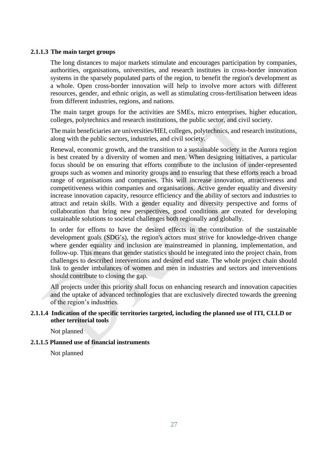#### **2.1.1.3 The main target groups**

The long distances to major markets stimulate and encourages participation by companies, authorities, organisations, universities, and research institutes in cross-border innovation systems in the sparsely populated parts of the region, to benefit the region's development as a whole. Open cross-border innovation will help to involve more actors with different resources, gender, and ethnic origin, as well as stimulating cross-fertilisation between ideas from different industries, regions, and nations.

The main target groups for the activities are SMEs, micro enterprises, higher education, colleges, polytechnics and research institutions, the public sector, and civil society.

The main beneficiaries are universities/HEI, colleges, polytechnics, and research institutions, along with the public sectors, industries, and civil society.

Renewal, economic growth, and the transition to a sustainable society in the Aurora region is best created by a diversity of women and men. When designing initiatives, a particular focus should be on ensuring that efforts contribute to the inclusion of under-represented groups such as women and minority groups and to ensuring that these efforts reach a broad range of organisations and companies. This will increase innovation, attractiveness and competitiveness within companies and organisations. Active gender equality and diversity increase innovation capacity, resource efficiency and the ability of sectors and industries to attract and retain skills. With a gender equality and diversity perspective and forms of collaboration that bring new perspectives, good conditions are created for developing sustainable solutions to societal challenges both regionally and globally.

In order for efforts to have the desired effects in the contribution of the sustainable development goals (SDG's), the region's actors must strive for knowledge-driven change where gender equality and inclusion are mainstreamed in planning, implementation, and follow-up. This means that gender statistics should be integrated into the project chain, from challenges to described interventions and desired end state. The whole project chain should link to gender imbalances of women and men in industries and sectors and interventions should contribute to closing the gap.

All projects under this priority shall focus on enhancing research and innovation capacities and the uptake of advanced technologies that are exclusively directed towards the greening of the region's industries.

### **2.1.1.4 Indication of the specific territories targeted, including the planned use of ITI, CLLD or other territorial tools**

Not planned

### **2.1.1.5 Planned use of financial instruments**

Not planned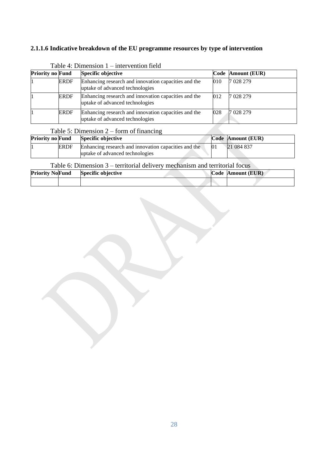# **2.1.1.6 Indicative breakdown of the EU programme resources by type of intervention**

| <b>Priority no Fund</b> |             | Specific objective                                                                      |     | Code   Amount (EUR) |
|-------------------------|-------------|-----------------------------------------------------------------------------------------|-----|---------------------|
|                         | <b>ERDF</b> | Enhancing research and innovation capacities and the<br>uptake of advanced technologies | 010 | 7 028 279           |
|                         | <b>ERDF</b> | Enhancing research and innovation capacities and the<br>uptake of advanced technologies | 012 | 7 028 279           |
|                         | <b>ERDF</b> | Enhancing research and innovation capacities and the<br>uptake of advanced technologies | 028 | 7 028 279           |

## Table 4: Dimension 1 – intervention field

## Table 5: Dimension 2 – form of financing

| <b>Priority no Fund</b> |      | Specific objective                                   | Code Amount (EUR) |
|-------------------------|------|------------------------------------------------------|-------------------|
|                         | ERDF | Enhancing research and innovation capacities and the | 21 084 837        |
|                         |      | uptake of advanced technologies                      |                   |

# Table 6: Dimension 3 – territorial delivery mechanism and territorial focus

| <b>Priority NoFund</b> | <b>Specific objective</b> |  | Code Amount (EUR) |
|------------------------|---------------------------|--|-------------------|
|                        |                           |  |                   |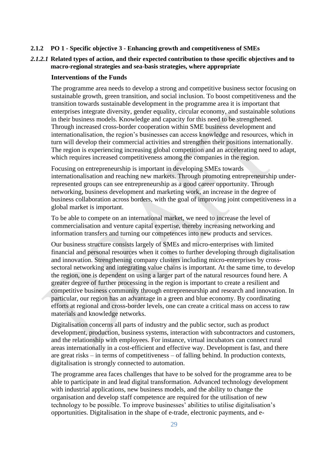#### **2.1.2 PO 1 - Specific objective 3 - Enhancing growth and competitiveness of SMEs**

### *2.1.2.1* **Related types of action, and their expected contribution to those specific objectives and to macro-regional strategies and sea-basis strategies, where appropriate**

### **Interventions of the Funds**

The programme area needs to develop a strong and competitive business sector focusing on sustainable growth, green transition, and social inclusion. To boost competitiveness and the transition towards sustainable development in the programme area it is important that enterprises integrate diversity, gender equality, circular economy, and sustainable solutions in their business models. Knowledge and capacity for this need to be strengthened. Through increased cross-border cooperation within SME business development and internationalisation, the region's businesses can access knowledge and resources, which in turn will develop their commercial activities and strengthen their positions internationally. The region is experiencing increasing global competition and an accelerating need to adapt, which requires increased competitiveness among the companies in the region.

Focusing on entrepreneurship is important in developing SMEs towards internationalisation and reaching new markets. Through promoting entrepreneurship underrepresented groups can see entrepreneurship as a good career opportunity. Through networking, business development and marketing work, an increase in the degree of business collaboration across borders, with the goal of improving joint competitiveness in a global market is important.

To be able to compete on an international market, we need to increase the level of commercialisation and venture capital expertise, thereby increasing networking and information transfers and turning our competences into new products and services.

Our business structure consists largely of SMEs and micro-enterprises with limited financial and personal resources when it comes to further developing through digitalisation and innovation. Strengthening company clusters including micro-enterprises by crosssectoral networking and integrating value chains is important. At the same time, to develop the region, one is dependent on using a larger part of the natural resources found here. A greater degree of further processing in the region is important to create a resilient and competitive business community through entrepreneurship and research and innovation. In particular, our region has an advantage in a green and blue economy. By coordinating efforts at regional and cross-border levels, one can create a critical mass on access to raw materials and knowledge networks.

Digitalisation concerns all parts of industry and the public sector, such as product development, production, business systems, interaction with subcontractors and customers, and the relationship with employees. For instance, virtual incubators can connect rural areas internationally in a cost-efficient and effective way. Development is fast, and there are great risks – in terms of competitiveness – of falling behind. In production contexts, digitalisation is strongly connected to automation.

The programme area faces challenges that have to be solved for the programme area to be able to participate in and lead digital transformation. Advanced technology development with industrial applications, new business models, and the ability to change the organisation and develop staff competence are required for the utilisation of new technology to be possible. To improve businesses' abilities to utilise digitalisation's opportunities. Digitalisation in the shape of e-trade, electronic payments, and e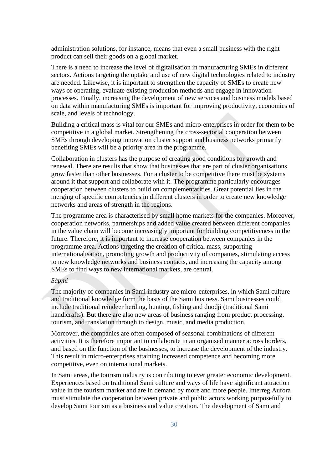administration solutions, for instance, means that even a small business with the right product can sell their goods on a global market.

There is a need to increase the level of digitalisation in manufacturing SMEs in different sectors. Actions targeting the uptake and use of new digital technologies related to industry are needed. Likewise, it is important to strengthen the capacity of SMEs to create new ways of operating, evaluate existing production methods and engage in innovation processes. Finally, increasing the development of new services and business models based on data within manufacturing SMEs is important for improving productivity, economies of scale, and levels of technology.

Building a critical mass is vital for our SMEs and micro-enterprises in order for them to be competitive in a global market. Strengthening the cross-sectorial cooperation between SMEs through developing innovation cluster support and business networks primarily benefiting SMEs will be a priority area in the programme.

Collaboration in clusters has the purpose of creating good conditions for growth and renewal. There are results that show that businesses that are part of cluster organisations grow faster than other businesses. For a cluster to be competitive there must be systems around it that support and collaborate with it. The programme particularly encourages cooperation between clusters to build on complementarities. Great potential lies in the merging of specific competencies in different clusters in order to create new knowledge networks and areas of strength in the regions.

The programme area is characterised by small home markets for the companies. Moreover, cooperation networks, partnerships and added value created between different companies in the value chain will become increasingly important for building competitiveness in the future. Therefore, it is important to increase cooperation between companies in the programme area. Actions targeting the creation of critical mass, supporting internationalisation, promoting growth and productivity of companies, stimulating access to new knowledge networks and business contacts, and increasing the capacity among SMEs to find ways to new international markets, are central.

### *Sápmi*

The majority of companies in Sami industry are micro-enterprises, in which Sami culture and traditional knowledge form the basis of the Sami business. Sami businesses could include traditional reindeer herding, hunting, fishing and duodji (traditional Sami handicrafts). But there are also new areas of business ranging from product processing, tourism, and translation through to design, music, and media production.

Moreover, the companies are often composed of seasonal combinations of different activities. It is therefore important to collaborate in an organised manner across borders, and based on the function of the businesses, to increase the development of the industry. This result in micro-enterprises attaining increased competence and becoming more competitive, even on international markets.

In Sami areas, the tourism industry is contributing to ever greater economic development. Experiences based on traditional Sami culture and ways of life have significant attraction value in the tourism market and are in demand by more and more people. Interreg Aurora must stimulate the cooperation between private and public actors working purposefully to develop Sami tourism as a business and value creation. The development of Sami and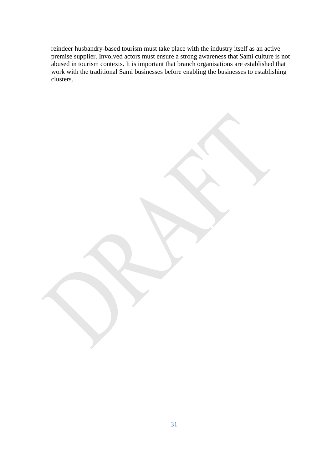reindeer husbandry-based tourism must take place with the industry itself as an active premise supplier. Involved actors must ensure a strong awareness that Sami culture is not abused in tourism contexts. It is important that branch organisations are established that work with the traditional Sami businesses before enabling the businesses to establishing clusters.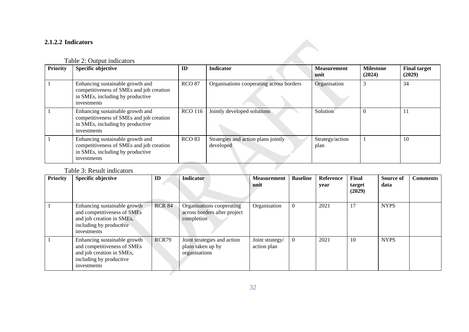# **2.1.2.2 Indicators**

# Table 2: Output indicators

| <b>Priority</b> | <b>Specific objective</b>                                                                                                       | ID             | Indicator                                        | <b>Measurement</b><br>unit | <b>Milestone</b><br>(2024) | <b>Final target</b><br>(2029) |
|-----------------|---------------------------------------------------------------------------------------------------------------------------------|----------------|--------------------------------------------------|----------------------------|----------------------------|-------------------------------|
|                 | Enhancing sustainable growth and<br>competitiveness of SMEs and job creation<br>in SMEs, including by productive<br>investments | <b>RCO 87</b>  | Organisations cooperating across borders         | Organisation               | 3                          | 34                            |
|                 | Enhancing sustainable growth and<br>competitiveness of SMEs and job creation<br>in SMEs, including by productive<br>investments | <b>RCO 116</b> | Jointly developed solutions                      | Solution                   | $\Omega$                   | 11                            |
|                 | Enhancing sustainable growth and<br>competitiveness of SMEs and job creation<br>in SMEs, including by productive<br>investments | <b>RCO 83</b>  | Strategies and action plans jointly<br>developed | Strategy/action<br>plan    |                            | 10                            |
|                 | Table 3: Result indicators                                                                                                      |                |                                                  |                            |                            |                               |

# Table 3: Result indicators

| <b>Priority</b> | <b>Specific objective</b>                                                                                                          | ID            | <b>Indicator</b>                                                        | <b>Measurement</b><br>unit     | <b>Baseline</b> | Reference<br>year | Final<br>target<br>(2029) | Source of<br>data | <b>Comments</b> |
|-----------------|------------------------------------------------------------------------------------------------------------------------------------|---------------|-------------------------------------------------------------------------|--------------------------------|-----------------|-------------------|---------------------------|-------------------|-----------------|
|                 | Enhancing sustainable growth<br>and competitiveness of SMEs<br>and job creation in SMEs,<br>including by productive<br>investments | <b>RCR 84</b> | Organisations cooperating<br>across borders after project<br>completion | Organisation                   |                 | 2021              | 17                        | <b>NYPS</b>       |                 |
|                 | Enhancing sustainable growth<br>and competitiveness of SMEs<br>and job creation in SMEs,<br>including by productive<br>investments | RCR79         | Joint strategies and action<br>plans taken up by<br>organisations       | Joint strategy/<br>action plan |                 | 2021              | 10                        | <b>NYPS</b>       |                 |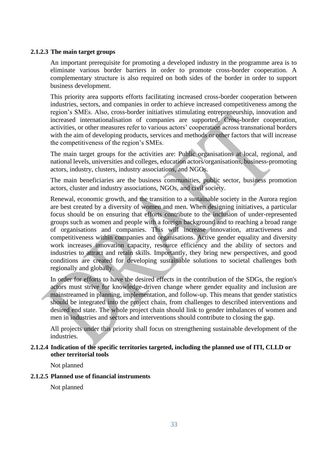#### **2.1.2.3 The main target groups**

An important prerequisite for promoting a developed industry in the programme area is to eliminate various border barriers in order to promote cross-border cooperation. A complementary structure is also required on both sides of the border in order to support business development.

This priority area supports efforts facilitating increased cross-border cooperation between industries, sectors, and companies in order to achieve increased competitiveness among the region's SMEs. Also, cross-border initiatives stimulating entrepreneurship, innovation and increased internationalisation of companies are supported. Cross-border cooperation, activities, or other measures refer to various actors' cooperation across transnational borders with the aim of developing products, services and methods or other factors that will increase the competitiveness of the region's SMEs.

The main target groups for the activities are: Public organisations at local, regional, and national levels, universities and colleges, education actors/organisations, business-promoting actors, industry, clusters, industry associations, and NGOs.

The main beneficiaries are the business communities, public sector, business promotion actors, cluster and industry associations, NGOs, and civil society.

Renewal, economic growth, and the transition to a sustainable society in the Aurora region are best created by a diversity of women and men. When designing initiatives, a particular focus should be on ensuring that efforts contribute to the inclusion of under-represented groups such as women and people with a foreign background and to reaching a broad range of organisations and companies. This will increase innovation, attractiveness and competitiveness within companies and organisations. Active gender equality and diversity work increases innovation capacity, resource efficiency and the ability of sectors and industries to attract and retain skills. Importantly, they bring new perspectives, and good conditions are created for developing sustainable solutions to societal challenges both regionally and globally.

In order for efforts to have the desired effects in the contribution of the SDGs, the region's actors must strive for knowledge-driven change where gender equality and inclusion are mainstreamed in planning, implementation, and follow-up. This means that gender statistics should be integrated into the project chain, from challenges to described interventions and desired end state. The whole project chain should link to gender imbalances of women and men in industries and sectors and interventions should contribute to closing the gap.

All projects under this priority shall focus on strengthening sustainable development of the industries.

### **2.1.2.4 Indication of the specific territories targeted, including the planned use of ITI, CLLD or other territorial tools**

Not planned

### **2.1.2.5 Planned use of financial instruments**

Not planned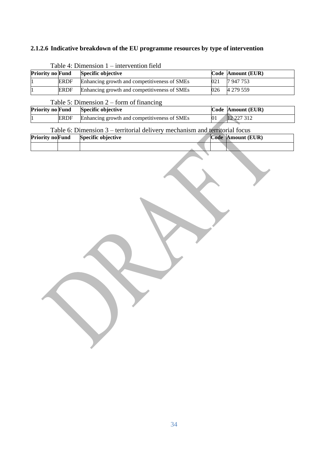# **2.1.2.6 Indicative breakdown of the EU programme resources by type of intervention**

| <b>Priority no Fund</b> |             | Specific objective                           |     | Code Amount (EUR) |
|-------------------------|-------------|----------------------------------------------|-----|-------------------|
|                         | <b>ERDF</b> | Enhancing growth and competitiveness of SMEs | 021 | 7947753           |
|                         | <b>ERDF</b> | Enhancing growth and competitiveness of SMEs | 026 | 4 279 559         |

# Table  $4:$  Dimension  $1 =$  intervention field

## Table 5: Dimension 2 – form of financing

| <b>Priority no Fund</b> |             | <b>Specific objective</b>                    | Code Amount (EUR) |
|-------------------------|-------------|----------------------------------------------|-------------------|
|                         | <b>ERDF</b> | Enhancing growth and competitiveness of SMEs | 12 227 312        |

## Table 6: Dimension 3 – territorial delivery mechanism and territorial focus

| <b>Priority no Fund</b><br>Specific objective | Code Amount (EUR) |
|-----------------------------------------------|-------------------|
|                                               |                   |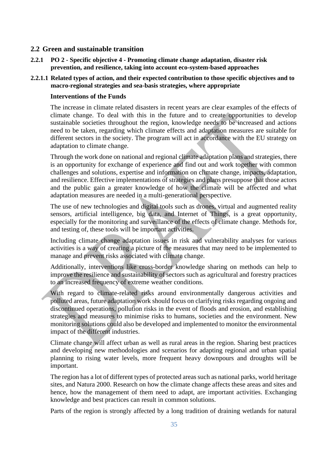### <span id="page-35-0"></span>**2.2 Green and sustainable transition**

**2.2.1 PO 2 - Specific objective 4 - Promoting climate change adaptation, disaster risk prevention, and resilience, taking into account eco-system-based approaches**

### **2.2.1.1 Related types of action, and their expected contribution to those specific objectives and to macro-regional strategies and sea-basis strategies, where appropriate**

### **Interventions of the Funds**

The increase in climate related disasters in recent years are clear examples of the effects of climate change. To deal with this in the future and to create opportunities to develop sustainable societies throughout the region, knowledge needs to be increased and actions need to be taken, regarding which climate effects and adaptation measures are suitable for different sectors in the society. The program will act in accordance with the EU strategy on adaptation to climate change.

Through the work done on national and regional climate adaptation plans and strategies, there is an opportunity for exchange of experience and find out and work together with common challenges and solutions, expertise and information on climate change, impacts, adaptation, and resilience. Effective implementations of strategies and plans presuppose that those actors and the public gain a greater knowledge of how the climate will be affected and what adaptation measures are needed in a multi-generational perspective.

The use of new technologies and digital tools such as drones, virtual and augmented reality sensors, artificial intelligence, big data, and Internet of Things, is a great opportunity, especially for the monitoring and surveillance of the effects of climate change. Methods for, and testing of, these tools will be important activities.

Including climate change adaptation issues in risk and vulnerability analyses for various activities is a way of creating a picture of the measures that may need to be implemented to manage and prevent risks associated with climate change.

Additionally, interventions like cross-border knowledge sharing on methods can help to improve the resilience and sustainability of sectors such as agricultural and forestry practices to an increased frequency of extreme weather conditions.

With regard to climate-related risks around environmentally dangerous activities and polluted areas, future adaptation work should focus on clarifying risks regarding ongoing and discontinued operations, pollution risks in the event of floods and erosion, and establishing strategies and measures to minimise risks to humans, societies and the environment. New monitoring solutions could also be developed and implemented to monitor the environmental impact of the different industries.

Climate change will affect urban as well as rural areas in the region. Sharing best practices and developing new methodologies and scenarios for adapting regional and urban spatial planning to rising water levels, more frequent heavy downpours and droughts will be important.

The region has a lot of different types of protected areas such as national parks, world heritage sites, and Natura 2000. Research on how the climate change affects these areas and sites and hence, how the management of them need to adapt, are important activities. Exchanging knowledge and best practices can result in common solutions.

Parts of the region is strongly affected by a long tradition of draining wetlands for natural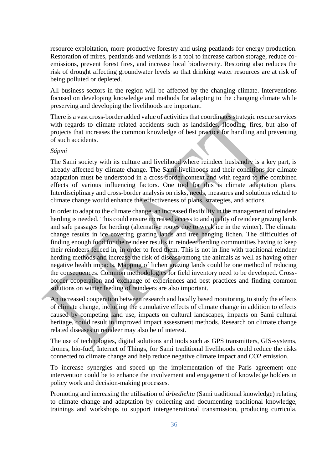resource exploitation, more productive forestry and using peatlands for energy production. Restoration of mires, peatlands and wetlands is a tool to increase carbon storage, reduce coemissions, prevent forest fires, and increase local biodiversity. Restoring also reduces the risk of drought affecting groundwater levels so that drinking water resources are at risk of being polluted or depleted.

All business sectors in the region will be affected by the changing climate. Interventions focused on developing knowledge and methods for adapting to the changing climate while preserving and developing the livelihoods are important.

There is a vast cross-border added value of activities that coordinates strategic rescue services with regards to climate related accidents such as landslides, flooding, fires, but also of projects that increases the common knowledge of best practice for handling and preventing of such accidents.

#### *Sápmi*

The Sami society with its culture and livelihood where reindeer husbandry is a key part, is already affected by climate change. The Sami livelihoods and their conditions for climate adaptation must be understood in a cross-border context and with regard to the combined effects of various influencing factors. One tool for this is climate adaptation plans. Interdisciplinary and cross-border analysis on risks, needs, measures and solutions related to climate change would enhance the effectiveness of plans, strategies, and actions.

In order to adapt to the climate change, an increased flexibility in the management of reindeer herding is needed. This could ensure increased access to and quality of reindeer grazing lands and safe passages for herding (alternative routes due to weak ice in the winter). The climate change results in ice covering grazing lands and tree hanging lichen. The difficulties of finding enough food for the reindeer results in reindeer herding communities having to keep their reindeers fenced in, in order to feed them. This is not in line with traditional reindeer herding methods and increase the risk of disease among the animals as well as having other negative health impacts. Mapping of lichen grazing lands could be one method of reducing the consequences. Common methodologies for field inventory need to be developed. Crossborder cooperation and exchange of experiences and best practices and finding common solutions on winter feeding of reindeers are also important.

An increased cooperation between research and locally based monitoring, to study the effects of climate change, including the cumulative effects of climate change in addition to effects caused by competing land use, impacts on cultural landscapes, impacts on Sami cultural heritage, could result in improved impact assessment methods. Research on climate change related diseases in reindeer may also be of interest.

The use of technologies, digital solutions and tools such as GPS transmitters, GIS-systems, drones, bio-fuel, Internet of Things, for Sami traditional livelihoods could reduce the risks connected to climate change and help reduce negative climate impact and CO2 emission.

To increase synergies and speed up the implementation of the Paris agreement one intervention could be to enhance the involvement and engagement of knowledge holders in policy work and decision-making processes.

Promoting and increasing the utilisation of *árbediehtu* (Sami traditional knowledge) relating to climate change and adaptation by collecting and documenting traditional knowledge, trainings and workshops to support intergenerational transmission, producing curricula,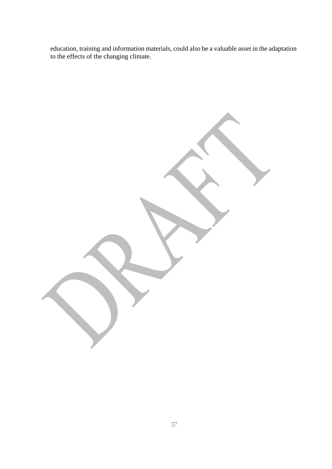education, training and information materials, could also be a valuable asset in the adaptation to the effects of the changing climate.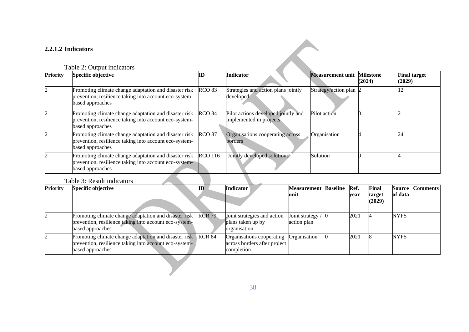### **2.2.1.2 Indicators**

### Table 2: Output indicators

| <b>Priority</b> | Specific objective                                                                                                                  |                   | <b>Indicator</b>                                               | <b>Measurement unit Milestone</b> | (2024) | <b>Final target</b><br>(2029) |
|-----------------|-------------------------------------------------------------------------------------------------------------------------------------|-------------------|----------------------------------------------------------------|-----------------------------------|--------|-------------------------------|
|                 | Promoting climate change adaptation and disaster risk<br>prevention, resilience taking into account eco-system-<br>based approaches | <b>RCO 83</b>     | Strategies and action plans jointly<br>developed               | Strategy/action plan 2            |        | $2^{\circ}$                   |
|                 | Promoting climate change adaptation and disaster risk<br>prevention, resilience taking into account eco-system-<br>based approaches | RCO <sub>84</sub> | Pilot actions developed jointly and<br>implemented in projects | Pilot action                      |        |                               |
|                 | Promoting climate change adaptation and disaster risk<br>prevention, resilience taking into account eco-system-<br>based approaches | <b>RCO 87</b>     | Organisations cooperating across<br>borders                    | Organisation                      |        | 24                            |
|                 | Promoting climate change adaptation and disaster risk<br>prevention, resilience taking into account eco-system-<br>based approaches | <b>RCO</b> 116    | Jointly developed solutions                                    | Solution                          |        |                               |

### Table 3: Result indicators

| <b>Priority</b> | Specific objective                                                                                                                  | ID            | <b>Indicator</b>                                                        | <b>Measurement</b><br>unit    | <b>Baseline</b> | Ref.<br>vear | Final<br>target<br>(2029) | <b>Source</b><br>of data | Comments |
|-----------------|-------------------------------------------------------------------------------------------------------------------------------------|---------------|-------------------------------------------------------------------------|-------------------------------|-----------------|--------------|---------------------------|--------------------------|----------|
|                 | Promoting climate change adaptation and disaster risk<br>prevention, resilience taking into account eco-system-<br>based approaches | <b>RCR 79</b> | Joint strategies and action<br>plans taken up by<br>organisation        | Joint strategy<br>action plan |                 | 2021         |                           | <b>NYPS</b>              |          |
|                 | Promoting climate change adaptation and disaster risk<br>prevention, resilience taking into account eco-system-<br>based approaches | <b>RCR 84</b> | Organisations cooperating<br>across borders after project<br>completion | Organisation                  |                 | 2021         |                           | <b>NYPS</b>              |          |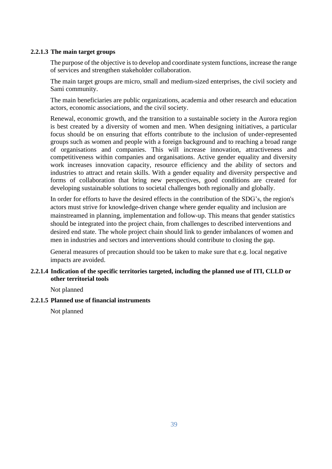#### **2.2.1.3 The main target groups**

The purpose of the objective is to develop and coordinate system functions, increase the range of services and strengthen stakeholder collaboration.

The main target groups are micro, small and medium-sized enterprises, the civil society and Sami community.

The main beneficiaries are public organizations, academia and other research and education actors, economic associations, and the civil society.

Renewal, economic growth, and the transition to a sustainable society in the Aurora region is best created by a diversity of women and men. When designing initiatives, a particular focus should be on ensuring that efforts contribute to the inclusion of under-represented groups such as women and people with a foreign background and to reaching a broad range of organisations and companies. This will increase innovation, attractiveness and competitiveness within companies and organisations. Active gender equality and diversity work increases innovation capacity, resource efficiency and the ability of sectors and industries to attract and retain skills. With a gender equality and diversity perspective and forms of collaboration that bring new perspectives, good conditions are created for developing sustainable solutions to societal challenges both regionally and globally.

In order for efforts to have the desired effects in the contribution of the SDG's, the region's actors must strive for knowledge-driven change where gender equality and inclusion are mainstreamed in planning, implementation and follow-up. This means that gender statistics should be integrated into the project chain, from challenges to described interventions and desired end state. The whole project chain should link to gender imbalances of women and men in industries and sectors and interventions should contribute to closing the gap.

General measures of precaution should too be taken to make sure that e.g. local negative impacts are avoided.

### **2.2.1.4 Indication of the specific territories targeted, including the planned use of ITI, CLLD or other territorial tools**

Not planned

#### **2.2.1.5 Planned use of financial instruments**

Not planned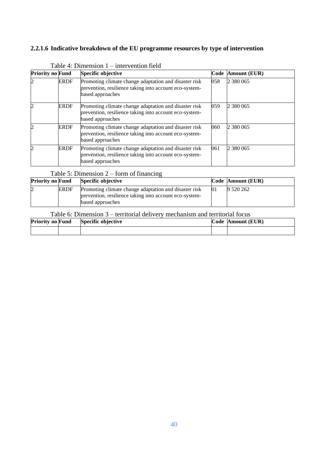### **2.2.1.6 Indicative breakdown of the EU programme resources by type of intervention**

| <b>Priority no Fund</b>     |             | Specific objective                                                                                                                  |     | Code Amount (EUR) |
|-----------------------------|-------------|-------------------------------------------------------------------------------------------------------------------------------------|-----|-------------------|
| $\mathcal{D}_{\mathcal{L}}$ | <b>ERDF</b> | Promoting climate change adaptation and disaster risk<br>prevention, resilience taking into account eco-system-<br>based approaches | 058 | 2 380 065         |
| $\mathcal{D}_{\mathcal{A}}$ | <b>ERDF</b> | Promoting climate change adaptation and disaster risk<br>prevention, resilience taking into account eco-system-<br>based approaches | 059 | 2 380 065         |
| $\mathcal{D}_{\mathcal{L}}$ | <b>ERDF</b> | Promoting climate change adaptation and disaster risk<br>prevention, resilience taking into account eco-system-<br>based approaches | 060 | 2 380 065         |
|                             | <b>ERDF</b> | Promoting climate change adaptation and disaster risk<br>prevention, resilience taking into account eco-system-<br>based approaches | 061 | 2 380 065         |

| Table 4: Dimension 1 – intervention field |  |  |  |
|-------------------------------------------|--|--|--|
|-------------------------------------------|--|--|--|

### Table 5: Dimension 2 – form of financing

| <b>Priority no Fund</b> |             | <b>Specific objective</b>                                                                                       |    | Code Amount (EUR) |
|-------------------------|-------------|-----------------------------------------------------------------------------------------------------------------|----|-------------------|
|                         | <b>ERDF</b> | Promoting climate change adaptation and disaster risk<br>prevention, resilience taking into account eco-system- | 01 | 9 520 262         |
|                         |             | based approaches                                                                                                |    |                   |

### Table 6: Dimension 3 – territorial delivery mechanism and territorial focus

| <b>Priority no Fund</b> | Specific objective | Code Amount (EUR) |
|-------------------------|--------------------|-------------------|
|                         |                    |                   |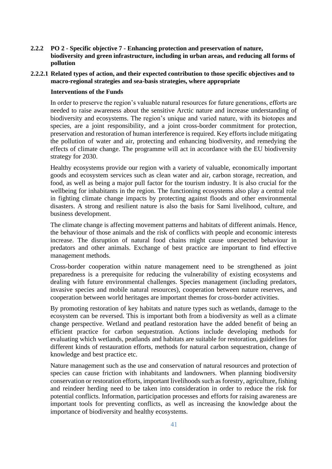- **2.2.2 PO 2 - Specific objective 7 - Enhancing protection and preservation of nature, biodiversity and green infrastructure, including in urban areas, and reducing all forms of pollution**
- **2.2.2.1 Related types of action, and their expected contribution to those specific objectives and to macro-regional strategies and sea-basis strategies, where appropriate**

#### **Interventions of the Funds**

In order to preserve the region's valuable natural resources for future generations, efforts are needed to raise awareness about the sensitive Arctic nature and increase understanding of biodiversity and ecosystems. The region's unique and varied nature, with its biotopes and species, are a joint responsibility, and a joint cross-border commitment for protection, preservation and restoration of human interference is required. Key efforts include mitigating the pollution of water and air, protecting and enhancing biodiversity, and remedying the effects of climate change. The programme will act in accordance with the EU biodiversity strategy for 2030.

Healthy ecosystems provide our region with a variety of valuable, economically important goods and ecosystem services such as clean water and air, carbon storage, recreation, and food, as well as being a major pull factor for the tourism industry. It is also crucial for the wellbeing for inhabitants in the region. The functioning ecosystems also play a central role in fighting climate change impacts by protecting against floods and other environmental disasters. A strong and resilient nature is also the basis for Sami livelihood, culture, and business development.

The climate change is affecting movement patterns and habitats of different animals. Hence, the behaviour of those animals and the risk of conflicts with people and economic interests increase. The disruption of natural food chains might cause unexpected behaviour in predators and other animals. Exchange of best practice are important to find effective management methods.

Cross-border cooperation within nature management need to be strengthened as joint preparedness is a prerequisite for reducing the vulnerability of existing ecosystems and dealing with future environmental challenges. Species management (including predators, invasive species and mobile natural resources), cooperation between nature reserves, and cooperation between world heritages are important themes for cross-border activities.

By promoting restoration of key habitats and nature types such as wetlands, damage to the ecosystem can be reversed. This is important both from a biodiversity as well as a climate change perspective. Wetland and peatland restoration have the added benefit of being an efficient practice for carbon sequestration. Actions include developing methods for evaluating which wetlands, peatlands and habitats are suitable for restoration, guidelines for different kinds of restauration efforts, methods for natural carbon sequestration, change of knowledge and best practice etc.

Nature management such as the use and conservation of natural resources and protection of species can cause friction with inhabitants and landowners. When planning biodiversity conservation or restoration efforts, important livelihoods such as forestry, agriculture, fishing and reindeer herding need to be taken into consideration in order to reduce the risk for potential conflicts. Information, participation processes and efforts for raising awareness are important tools for preventing conflicts, as well as increasing the knowledge about the importance of biodiversity and healthy ecosystems.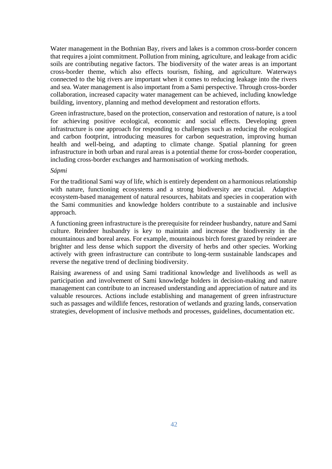Water management in the Bothnian Bay, rivers and lakes is a common cross-border concern that requires a joint commitment. Pollution from mining, agriculture, and leakage from acidic soils are contributing negative factors. The biodiversity of the water areas is an important cross-border theme, which also effects tourism, fishing, and agriculture. Waterways connected to the big rivers are important when it comes to reducing leakage into the rivers and sea. Water management is also important from a Sami perspective. Through cross-border collaboration, increased capacity water management can be achieved, including knowledge building, inventory, planning and method development and restoration efforts.

Green infrastructure, based on the protection, conservation and restoration of nature, is a tool for achieving positive ecological, economic and social effects. Developing green infrastructure is one approach for responding to challenges such as reducing the ecological and carbon footprint, introducing measures for carbon sequestration, improving human health and well-being, and adapting to climate change. Spatial planning for green infrastructure in both urban and rural areas is a potential theme for cross-border cooperation, including cross-border exchanges and harmonisation of working methods.

#### *Sápmi*

For the traditional Sami way of life, which is entirely dependent on a harmonious relationship with nature, functioning ecosystems and a strong biodiversity are crucial. Adaptive ecosystem-based management of natural resources, habitats and species in cooperation with the Sami communities and knowledge holders contribute to a sustainable and inclusive approach.

A functioning green infrastructure is the prerequisite for reindeer husbandry, nature and Sami culture. Reindeer husbandry is key to maintain and increase the biodiversity in the mountainous and boreal areas. For example, mountainous birch forest grazed by reindeer are brighter and less dense which support the diversity of herbs and other species. Working actively with green infrastructure can contribute to long-term sustainable landscapes and reverse the negative trend of declining biodiversity.

Raising awareness of and using Sami traditional knowledge and livelihoods as well as participation and involvement of Sami knowledge holders in decision-making and nature management can contribute to an increased understanding and appreciation of nature and its valuable resources. Actions include establishing and management of green infrastructure such as passages and wildlife fences, restoration of wetlands and grazing lands, conservation strategies, development of inclusive methods and processes, guidelines, documentation etc.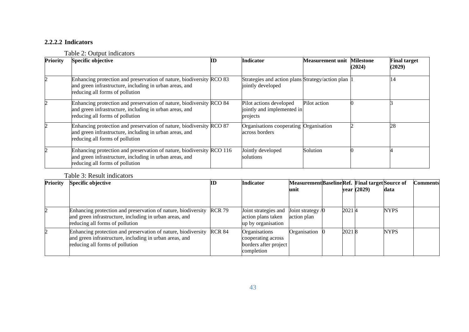### **2.2.2.2 Indicators**

### Table 2: Output indicators

| <b>Priority</b> | Specific objective                                                                                                                                                  | ШJ | <b>Indicator</b>                                                      | <b>Measurement unit Milestone</b> | (2024) | <b>Final target</b><br>(2029) |
|-----------------|---------------------------------------------------------------------------------------------------------------------------------------------------------------------|----|-----------------------------------------------------------------------|-----------------------------------|--------|-------------------------------|
|                 | Enhancing protection and preservation of nature, biodiversity RCO 83<br>and green infrastructure, including in urban areas, and<br>reducing all forms of pollution  |    | Strategies and action plans Strategy/action plan<br>jointly developed |                                   |        | 14                            |
|                 | Enhancing protection and preservation of nature, biodiversity RCO 84<br>and green infrastructure, including in urban areas, and<br>reducing all forms of pollution  |    | Pilot actions developed<br>jointly and implemented in<br>projects     | Pilot action                      |        |                               |
|                 | Enhancing protection and preservation of nature, biodiversity RCO 87<br>and green infrastructure, including in urban areas, and<br>reducing all forms of pollution  |    | Organisations cooperating Organisation<br>across borders              |                                   |        | 28                            |
|                 | Enhancing protection and preservation of nature, biodiversity RCO 116<br>and green infrastructure, including in urban areas, and<br>reducing all forms of pollution |    | Jointly developed<br>solutions                                        | Solution                          |        |                               |

### Table 3: Result indicators

| <b>Priority</b> | <b>Specific objective</b>                                                                                                                                          | ID | <b>Indicator</b>                                                           | Measurement Baseline Ref. Final target Source of |       |             |             | Comments |
|-----------------|--------------------------------------------------------------------------------------------------------------------------------------------------------------------|----|----------------------------------------------------------------------------|--------------------------------------------------|-------|-------------|-------------|----------|
|                 |                                                                                                                                                                    |    |                                                                            | unit                                             |       | year (2029) | data        |          |
|                 |                                                                                                                                                                    |    |                                                                            |                                                  |       |             |             |          |
|                 | Enhancing protection and preservation of nature, biodiversity RCR 79<br>and green infrastructure, including in urban areas, and<br>reducing all forms of pollution |    | Joint strategies and<br>action plans taken<br>up by organisation           | Joint strategy $/0$<br>action plan               | 20214 |             | <b>NYPS</b> |          |
|                 | Enhancing protection and preservation of nature, biodiversity RCR 84<br>and green infrastructure, including in urban areas, and<br>reducing all forms of pollution |    | Organisations<br>cooperating across<br>borders after project<br>completion | Organisation                                     | 20218 |             | <b>NYPS</b> |          |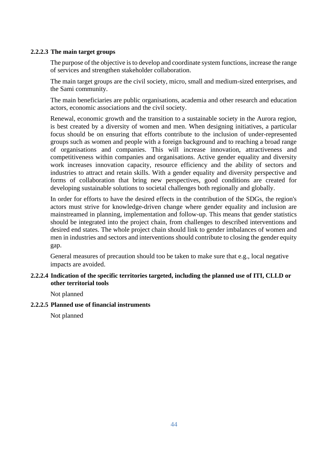#### **2.2.2.3 The main target groups**

The purpose of the objective is to develop and coordinate system functions, increase the range of services and strengthen stakeholder collaboration.

The main target groups are the civil society, micro, small and medium-sized enterprises, and the Sami community.

The main beneficiaries are public organisations, academia and other research and education actors, economic associations and the civil society.

Renewal, economic growth and the transition to a sustainable society in the Aurora region, is best created by a diversity of women and men. When designing initiatives, a particular focus should be on ensuring that efforts contribute to the inclusion of under-represented groups such as women and people with a foreign background and to reaching a broad range of organisations and companies. This will increase innovation, attractiveness and competitiveness within companies and organisations. Active gender equality and diversity work increases innovation capacity, resource efficiency and the ability of sectors and industries to attract and retain skills. With a gender equality and diversity perspective and forms of collaboration that bring new perspectives, good conditions are created for developing sustainable solutions to societal challenges both regionally and globally.

In order for efforts to have the desired effects in the contribution of the SDGs, the region's actors must strive for knowledge-driven change where gender equality and inclusion are mainstreamed in planning, implementation and follow-up. This means that gender statistics should be integrated into the project chain, from challenges to described interventions and desired end states. The whole project chain should link to gender imbalances of women and men in industries and sectors and interventions should contribute to closing the gender equity gap.

General measures of precaution should too be taken to make sure that e.g., local negative impacts are avoided.

#### **2.2.2.4 Indication of the specific territories targeted, including the planned use of ITI, CLLD or other territorial tools**

Not planned

#### **2.2.2.5 Planned use of financial instruments**

Not planned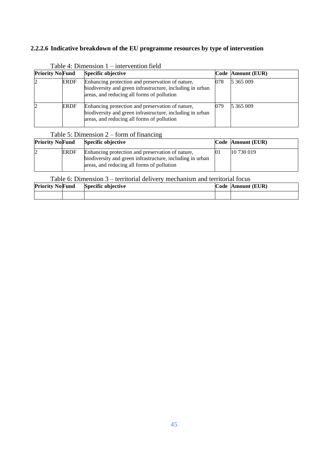### **2.2.2.6 Indicative breakdown of the EU programme resources by type of intervention**

| <b>Priority NoFund</b> |             | Specific objective                                                                                                                                          |     | Code Amount (EUR) |
|------------------------|-------------|-------------------------------------------------------------------------------------------------------------------------------------------------------------|-----|-------------------|
|                        | ERDF        | Enhancing protection and preservation of nature,<br>biodiversity and green infrastructure, including in urban<br>areas, and reducing all forms of pollution | 078 | 5 365 009         |
|                        | <b>ERDF</b> | Enhancing protection and preservation of nature,<br>biodiversity and green infrastructure, including in urban<br>areas, and reducing all forms of pollution | 079 | 5 365 009         |

Table 4: Dimension 1 – intervention field

### Table 5: Dimension 2 – form of financing

| <b>Priority NoFund</b> |             | <b>Specific objective</b>                                                                                                                                   | Code Amount (EUR) |
|------------------------|-------------|-------------------------------------------------------------------------------------------------------------------------------------------------------------|-------------------|
|                        | <b>ERDF</b> | Enhancing protection and preservation of nature,<br>biodiversity and green infrastructure, including in urban<br>areas, and reducing all forms of pollution | 10 730 019        |

### Table 6: Dimension 3 – territorial delivery mechanism and territorial focus

| <b>Priority NoFund</b> | Specific objective | Code Amount (EUR) |
|------------------------|--------------------|-------------------|
|                        |                    |                   |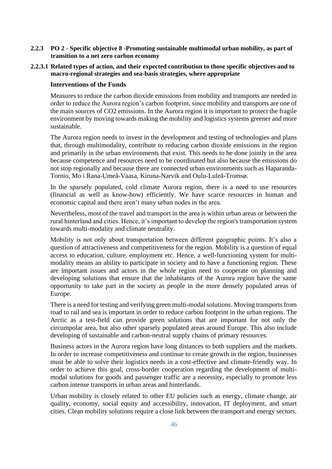- **2.2.3 PO 2 - Specific objective 8 -Promoting sustainable multimodal urban mobility, as part of transition to a net zero carbon economy**
- **2.2.3.1 Related types of action, and their expected contribution to those specific objectives and to macro-regional strategies and sea-basis strategies, where appropriate**

#### **Interventions of the Funds**

Measures to reduce the carbon dioxide emissions from mobility and transports are needed in order to reduce the Aurora region's carbon footprint, since mobility and transports are one of the main sources of CO2 emissions. In the Aurora region it is important to protect the fragile environment by moving towards making the mobility and logistics systems greener and more sustainable.

The Aurora region needs to invest in the development and testing of technologies and plans that, through multimodality, contribute to reducing carbon dioxide emissions in the region and primarily in the urban environments that exist. This needs to be done jointly in the area because competence and resources need to be coordinated but also because the emissions do not stop regionally and because there are connected urban environments such as Haparanda-Tornio, Mo i Rana-Umeå-Vaasa, Kiruna-Narvik and Oulu-Luleå-Tromsø.

In the sparsely populated, cold climate Aurora region, there is a need to use resources (financial as well as know-how) efficiently. We have scarce resources in human and economic capital and there aren't many urban nodes in the area.

Nevertheless, most of the travel and transport in the area is within urban areas or between the rural hinterland and cities. Hence, it's important to develop the region's transportation system towards multi-modality and climate neutrality.

Mobility is not only about transportation between different geographic points. It's also a question of attractiveness and competitiveness for the region. Mobility is a question of equal access to education, culture, employment etc. Hence, a well-functioning system for multimodality means an ability to participate in society and to have a functioning region. These are important issues and actors in the whole region need to cooperate on planning and developing solutions that ensure that the inhabitants of the Aurora region have the same opportunity to take part in the society as people in the more densely populated areas of Europe.

There is a need for testing and verifying green multi-modal solutions. Moving transports from road to rail and sea is important in order to reduce carbon footprint in the urban regions. The Arctic as a test-field can provide green solutions that are important for not only the circumpolar area, but also other sparsely populated areas around Europe. This also include developing of sustainable and carbon-neutral supply chains of primary resources.

Business actors in the Aurora region have long distances to both suppliers and the markets. In order to increase competitiveness and continue to create growth in the region, businesses must be able to solve their logistics needs in a cost-effective and climate-friendly way. In order to achieve this goal, cross-border cooperation regarding the development of multimodal solutions for goods and passenger traffic are a necessity, especially to promote less carbon intense transports in urban areas and hinterlands.

Urban mobility is closely related to other EU policies such as energy, climate change, air quality, economy, social equity and accessibility, innovation, IT deployment, and smart cities. Clean mobility solutions require a close link between the transport and energy sectors.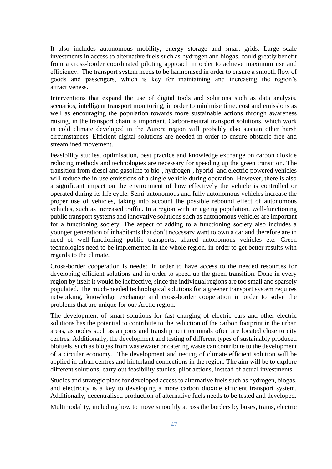It also includes autonomous mobility, energy storage and smart grids. Large scale investments in access to alternative fuels such as hydrogen and biogas, could greatly benefit from a cross-border coordinated piloting approach in order to achieve maximum use and efficiency. The transport system needs to be harmonised in order to ensure a smooth flow of goods and passengers, which is key for maintaining and increasing the region's attractiveness.

Interventions that expand the use of digital tools and solutions such as data analysis, scenarios, intelligent transport monitoring, in order to minimise time, cost and emissions as well as encouraging the population towards more sustainable actions through awareness raising, in the transport chain is important. Carbon-neutral transport solutions, which work in cold climate developed in the Aurora region will probably also sustain other harsh circumstances. Efficient digital solutions are needed in order to ensure obstacle free and streamlined movement.

Feasibility studies, optimisation, best practice and knowledge exchange on carbon dioxide reducing methods and technologies are necessary for speeding up the green transition. The transition from diesel and gasoline to bio-, hydrogen-, hybrid- and electric-powered vehicles will reduce the in-use emissions of a single vehicle during operation. However, there is also a significant impact on the environment of how effectively the vehicle is controlled or operated during its life cycle. Semi-autonomous and fully autonomous vehicles increase the proper use of vehicles, taking into account the possible rebound effect of autonomous vehicles, such as increased traffic. In a region with an ageing population, well-functioning public transport systems and innovative solutions such as autonomous vehicles are important for a functioning society. The aspect of adding to a functioning society also includes a younger generation of inhabitants that don't necessary want to own a car and therefore are in need of well-functioning public transports, shared autonomous vehicles etc. Green technologies need to be implemented in the whole region, in order to get better results with regards to the climate.

Cross-border cooperation is needed in order to have access to the needed resources for developing efficient solutions and in order to speed up the green transition. Done in every region by itself it would be ineffective, since the individual regions are too small and sparsely populated. The much-needed technological solutions for a greener transport system requires networking, knowledge exchange and cross-border cooperation in order to solve the problems that are unique for our Arctic region.

The development of smart solutions for fast charging of electric cars and other electric solutions has the potential to contribute to the reduction of the carbon footprint in the urban areas, as nodes such as airports and transhipment terminals often are located close to city centres. Additionally, the development and testing of different types of sustainably produced biofuels, such as biogas from wastewater or catering waste can contribute to the development of a circular economy. The development and testing of climate efficient solution will be applied in urban centres and hinterland connections in the region. The aim will be to explore different solutions, carry out feasibility studies, pilot actions, instead of actual investments.

Studies and strategic plans for developed access to alternative fuels such as hydrogen, biogas, and electricity is a key to developing a more carbon dioxide efficient transport system. Additionally, decentralised production of alternative fuels needs to be tested and developed.

Multimodality, including how to move smoothly across the borders by buses, trains, electric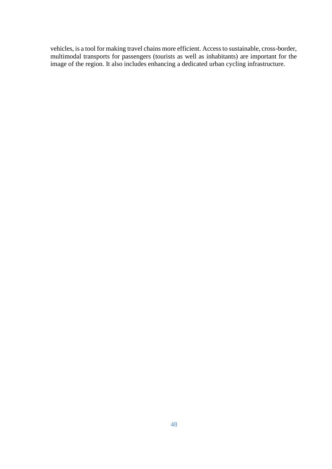vehicles, is a tool for making travel chains more efficient. Access to sustainable, cross-border, multimodal transports for passengers (tourists as well as inhabitants) are important for the image of the region. It also includes enhancing a dedicated urban cycling infrastructure.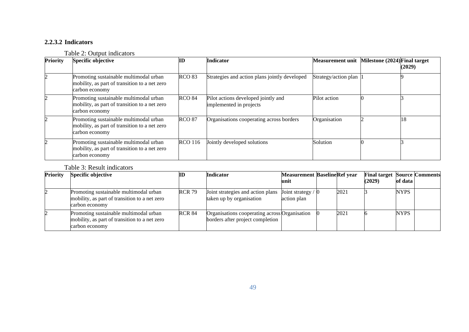### **2.2.3.2 Indicators**

### Table 2: Output indicators

| Priority | <b>Specific objective</b>                                                                                 | ID             | Indicator                                                      | <b>Measurement unit</b> | Milestone (2024) Final target | (2029) |
|----------|-----------------------------------------------------------------------------------------------------------|----------------|----------------------------------------------------------------|-------------------------|-------------------------------|--------|
|          | Promoting sustainable multimodal urban<br>mobility, as part of transition to a net zero<br>carbon economy | <b>RCO 83</b>  | Strategies and action plans jointly developed                  | Strategy/action plan    |                               |        |
|          | Promoting sustainable multimodal urban<br>mobility, as part of transition to a net zero<br>carbon economy | <b>RCO 84</b>  | Pilot actions developed jointly and<br>implemented in projects | Pilot action            |                               |        |
|          | Promoting sustainable multimodal urban<br>mobility, as part of transition to a net zero<br>carbon economy | <b>RCO 87</b>  | Organisations cooperating across borders                       | Organisation            |                               | 18     |
|          | Promoting sustainable multimodal urban<br>mobility, as part of transition to a net zero<br>carbon economy | <b>RCO</b> 116 | Jointly developed solutions                                    | Solution                |                               |        |

### Table 3: Result indicators

| <b>Priority</b> | <b>Specific objective</b>                                                                                 | ID            | <b>Indicator</b>                                                                  | <b>Measurement BaselineRef year</b><br>unit |      | <b>Final target Source Comments</b><br>(2029) | of data     |  |
|-----------------|-----------------------------------------------------------------------------------------------------------|---------------|-----------------------------------------------------------------------------------|---------------------------------------------|------|-----------------------------------------------|-------------|--|
|                 |                                                                                                           |               |                                                                                   |                                             |      |                                               |             |  |
|                 | Promoting sustainable multimodal urban<br>mobility, as part of transition to a net zero<br>carbon economy | <b>RCR 79</b> | Joint strategies and action plans<br>taken up by organisation                     | Joint strategy / $\int$<br>action plan      | 2021 |                                               | <b>NYPS</b> |  |
|                 | Promoting sustainable multimodal urban<br>mobility, as part of transition to a net zero<br>carbon economy | <b>RCR 84</b> | Organisations cooperating across Organisation<br>borders after project completion |                                             | 2021 |                                               | <b>NYPS</b> |  |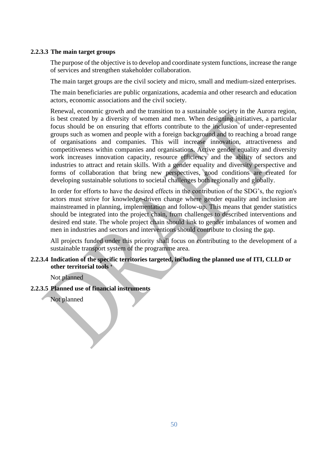#### **2.2.3.3 The main target groups**

The purpose of the objective is to develop and coordinate system functions, increase the range of services and strengthen stakeholder collaboration.

The main target groups are the civil society and micro, small and medium-sized enterprises.

The main beneficiaries are public organizations, academia and other research and education actors, economic associations and the civil society.

Renewal, economic growth and the transition to a sustainable society in the Aurora region, is best created by a diversity of women and men. When designing initiatives, a particular focus should be on ensuring that efforts contribute to the inclusion of under-represented groups such as women and people with a foreign background and to reaching a broad range of organisations and companies. This will increase innovation, attractiveness and competitiveness within companies and organisations. Active gender equality and diversity work increases innovation capacity, resource efficiency and the ability of sectors and industries to attract and retain skills. With a gender equality and diversity perspective and forms of collaboration that bring new perspectives, good conditions are created for developing sustainable solutions to societal challenges both regionally and globally.

In order for efforts to have the desired effects in the contribution of the SDG's, the region's actors must strive for knowledge-driven change where gender equality and inclusion are mainstreamed in planning, implementation and follow-up. This means that gender statistics should be integrated into the project chain, from challenges to described interventions and desired end state. The whole project chain should link to gender imbalances of women and men in industries and sectors and interventions should contribute to closing the gap.

All projects funded under this priority shall focus on contributing to the development of a sustainable transport system of the programme area.

### **2.2.3.4 Indication of the specific territories targeted, including the planned use of ITI, CLLD or other territorial tools '**

Not planned

**2.2.3.5 Planned use of financial instruments**

Not planned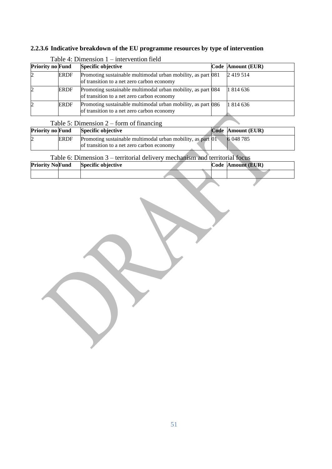### **2.2.3.6 Indicative breakdown of the EU programme resources by type of intervention**

| <b>Priority no Fund</b> |             | <b>Specific objective</b>                                                                                  | Code Amount (EUR) |
|-------------------------|-------------|------------------------------------------------------------------------------------------------------------|-------------------|
|                         | <b>ERDF</b> | Promoting sustainable multimodal urban mobility, as part 081<br>of transition to a net zero carbon economy | 2419514           |
|                         | <b>ERDF</b> | Promoting sustainable multimodal urban mobility, as part 084<br>of transition to a net zero carbon economy | 1814636           |
|                         | <b>ERDF</b> | Promoting sustainable multimodal urban mobility, as part 086<br>of transition to a net zero carbon economy | 1 814 636         |

### Table 4: Dimension 1 – intervention field

### Table 5: Dimension 2 – form of financing

| <b>Priority no Fund</b> |             | Specific objective                                                    | Code Amount (EUR) |
|-------------------------|-------------|-----------------------------------------------------------------------|-------------------|
|                         | <b>ERDF</b> | Promoting sustainable multimodal urban mobility, as part $\boxed{01}$ | 6 048 785         |
|                         |             | of transition to a net zero carbon economy                            |                   |

### Table 6: Dimension 3 – territorial delivery mechanism and territorial focus

| <b>Priority NoFund</b> | Specific objective |  | Code Amount (EUR) |
|------------------------|--------------------|--|-------------------|
|                        |                    |  |                   |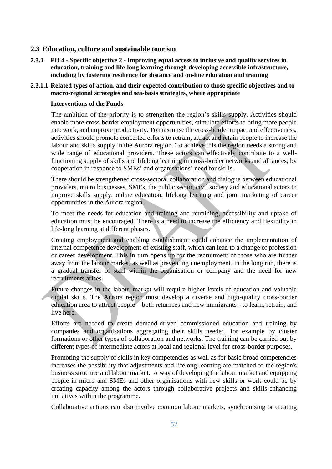#### **2.3 Education, culture and sustainable tourism**

**2.3.1 PO 4 - Specific objective 2 - Improving equal access to inclusive and quality services in education, training and life-long learning through developing accessible infrastructure, including by fostering resilience for distance and on-line education and training**

#### **2.3.1.1 Related types of action, and their expected contribution to those specific objectives and to macro-regional strategies and sea-basis strategies, where appropriate**

#### **Interventions of the Funds**

The ambition of the priority is to strengthen the region's skills supply. Activities should enable more cross-border employment opportunities, stimulate efforts to bring more people into work, and improve productivity. To maximise the cross-border impact and effectiveness, activities should promote concerted efforts to retrain, attract and retain people to increase the labour and skills supply in the Aurora region. To achieve this the region needs a strong and wide range of educational providers. These actors can effectively contribute to a wellfunctioning supply of skills and lifelong learning in cross-border networks and alliances, by cooperation in response to SMEs' and organisations' need for skills.

There should be strengthened cross-sectoral collaboration and dialogue between educational providers, micro businesses, SMEs, the public sector, civil society and educational actors to improve skills supply, online education, lifelong learning and joint marketing of career opportunities in the Aurora region.

To meet the needs for education and training and retraining, accessibility and uptake of education must be encouraged. There is a need to increase the efficiency and flexibility in life-long learning at different phases.

Creating employment and enabling establishment could enhance the implementation of internal competence development of existing staff, which can lead to a change of profession or career development. This in turn opens up for the recruitment of those who are further away from the labour market, as well as preventing unemployment. In the long run, there is a gradual transfer of staff within the organisation or company and the need for new recruitments arises.

Future changes in the labour market will require higher levels of education and valuable digital skills. The Aurora region must develop a diverse and high-quality cross-border education area to attract people – both returnees and new immigrants - to learn, retrain, and live here.

Efforts are needed to create demand-driven commissioned education and training by companies and organisations aggregating their skills needed, for example by cluster formations or other types of collaboration and networks. The training can be carried out by different types of intermediate actors at local and regional level for cross-border purposes.

Promoting the supply of skills in key competencies as well as for basic broad competencies increases the possibility that adjustments and lifelong learning are matched to the region's business structure and labour market. A way of developing the labour market and equipping people in micro and SMEs and other organisations with new skills or work could be by creating capacity among the actors through collaborative projects and skills-enhancing initiatives within the programme.

Collaborative actions can also involve common labour markets, synchronising or creating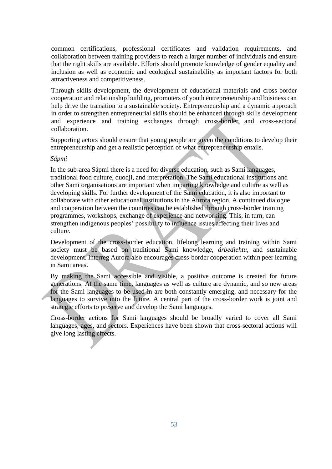common certifications, professional certificates and validation requirements, and collaboration between training providers to reach a larger number of individuals and ensure that the right skills are available. Efforts should promote knowledge of gender equality and inclusion as well as economic and ecological sustainability as important factors for both attractiveness and competitiveness.

Through skills development, the development of educational materials and cross-border cooperation and relationship building, promoters of youth entrepreneurship and business can help drive the transition to a sustainable society. Entrepreneurship and a dynamic approach in order to strengthen entrepreneurial skills should be enhanced through skills development and experience and training exchanges through cross-border and cross-sectoral collaboration.

Supporting actors should ensure that young people are given the conditions to develop their entrepreneurship and get a realistic perception of what entrepreneurship entails.

#### *Sápmi*

In the sub-area Sápmi there is a need for diverse education, such as Sami languages, traditional food culture, duodji, and interpretation. The Sami educational institutions and other Sami organisations are important when imparting knowledge and culture as well as developing skills. For further development of the Sami education, it is also important to collaborate with other educational institutions in the Aurora region. A continued dialogue and cooperation between the countries can be established through cross-border training programmes, workshops, exchange of experience and networking. This, in turn, can strengthen indigenous peoples' possibility to influence issues affecting their lives and culture.

Development of the cross-border education, lifelong learning and training within Sami society must be based on traditional Sami knowledge, *árbediehtu,* and sustainable development. Interreg Aurora also encourages cross-border cooperation within peer learning in Sami areas.

By making the Sami accessible and visible, a positive outcome is created for future generations. At the same time, languages as well as culture are dynamic, and so new areas for the Sami languages to be used in are both constantly emerging, and necessary for the languages to survive into the future. A central part of the cross-border work is joint and strategic efforts to preserve and develop the Sami languages.

Cross-border actions for Sami languages should be broadly varied to cover all Sami languages, ages, and sectors. Experiences have been shown that cross-sectoral actions will give long lasting effects.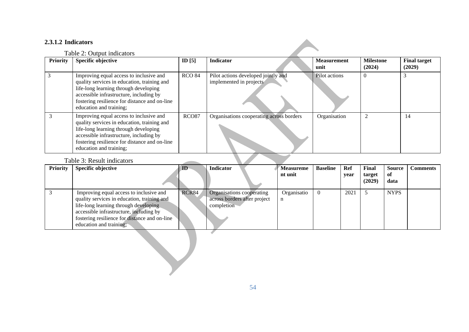### **2.3.1.2 Indicators**

### Table 2: Output indicators

| <b>Priority</b> | <b>Specific objective</b>                                                                                                                                                                                                                              | ID $[5]$          | <b>Indicator</b>                                               | <b>Measurement</b><br>unit | <b>Milestone</b><br>(2024) | <b>Final target</b><br>(2029) |
|-----------------|--------------------------------------------------------------------------------------------------------------------------------------------------------------------------------------------------------------------------------------------------------|-------------------|----------------------------------------------------------------|----------------------------|----------------------------|-------------------------------|
|                 | Improving equal access to inclusive and<br>quality services in education, training and<br>life-long learning through developing<br>accessible infrastructure, including by<br>fostering resilience for distance and on-line<br>education and training; | <b>RCO 84</b>     | Pilot actions developed jointly and<br>implemented in projects | Pilot actions              |                            |                               |
|                 | Improving equal access to inclusive and<br>quality services in education, training and<br>life-long learning through developing<br>accessible infrastructure, including by<br>fostering resilience for distance and on-line<br>education and training; | RCO <sub>87</sub> | Organisations cooperating across borders                       | Organisation               | $\mathcal{D}$              | 14                            |
|                 | Table 3: Result indicators                                                                                                                                                                                                                             |                   |                                                                |                            |                            |                               |

### Table 3: Result indicators

| <b>Priority</b> | <b>Specific objective</b>                                                                                                                                                                                                                              | ID    | <b>Indicator</b>                                                        | <b>Measureme</b><br>nt unit | <b>Baseline</b> | Ref<br>year | Final<br>target<br>(2029) | <b>Source</b><br>of<br>data | <b>Comments</b> |
|-----------------|--------------------------------------------------------------------------------------------------------------------------------------------------------------------------------------------------------------------------------------------------------|-------|-------------------------------------------------------------------------|-----------------------------|-----------------|-------------|---------------------------|-----------------------------|-----------------|
| 3               | Improving equal access to inclusive and<br>quality services in education, training and<br>life-long learning through developing<br>accessible infrastructure, including by<br>fostering resilience for distance and on-line<br>education and training; | RCR84 | Organisations cooperating<br>across borders after project<br>completion | Organisatio<br>n            | $\overline{0}$  | 2021        | 5                         | <b>NYPS</b>                 |                 |
|                 |                                                                                                                                                                                                                                                        |       |                                                                         |                             |                 |             |                           |                             |                 |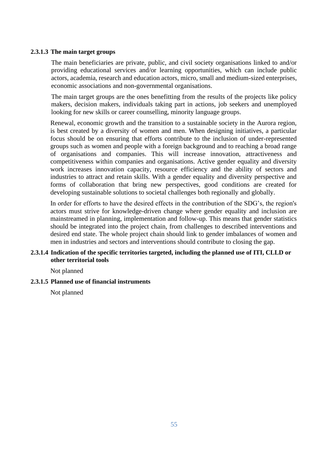#### **2.3.1.3 The main target groups**

The main beneficiaries are private, public, and civil society organisations linked to and/or providing educational services and/or learning opportunities, which can include public actors, academia, research and education actors, micro, small and medium-sized enterprises, economic associations and non-governmental organisations.

The main target groups are the ones benefitting from the results of the projects like policy makers, decision makers, individuals taking part in actions, job seekers and unemployed looking for new skills or career counselling, minority language groups.

Renewal, economic growth and the transition to a sustainable society in the Aurora region, is best created by a diversity of women and men. When designing initiatives, a particular focus should be on ensuring that efforts contribute to the inclusion of under-represented groups such as women and people with a foreign background and to reaching a broad range of organisations and companies. This will increase innovation, attractiveness and competitiveness within companies and organisations. Active gender equality and diversity work increases innovation capacity, resource efficiency and the ability of sectors and industries to attract and retain skills. With a gender equality and diversity perspective and forms of collaboration that bring new perspectives, good conditions are created for developing sustainable solutions to societal challenges both regionally and globally.

In order for efforts to have the desired effects in the contribution of the SDG's, the region's actors must strive for knowledge-driven change where gender equality and inclusion are mainstreamed in planning, implementation and follow-up. This means that gender statistics should be integrated into the project chain, from challenges to described interventions and desired end state. The whole project chain should link to gender imbalances of women and men in industries and sectors and interventions should contribute to closing the gap.

#### **2.3.1.4 Indication of the specific territories targeted, including the planned use of ITI, CLLD or other territorial tools**

Not planned

#### **2.3.1.5 Planned use of financial instruments**

Not planned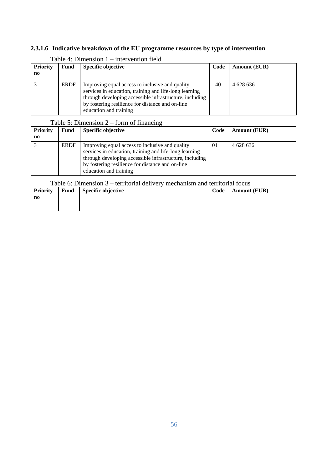### **2.3.1.6 Indicative breakdown of the EU programme resources by type of intervention**

| <b>Priority</b>        | <b>Fund</b> | <b>Specific objective</b>                                                                                                                                                                                                                          | Code | <b>Amount (EUR)</b> |  |  |  |  |  |  |
|------------------------|-------------|----------------------------------------------------------------------------------------------------------------------------------------------------------------------------------------------------------------------------------------------------|------|---------------------|--|--|--|--|--|--|
| $\mathbf{n}\mathbf{o}$ |             |                                                                                                                                                                                                                                                    |      |                     |  |  |  |  |  |  |
|                        | <b>ERDF</b> | Improving equal access to inclusive and quality<br>services in education, training and life-long learning<br>through developing accessible infrastructure, including<br>by fostering resilience for distance and on-line<br>education and training | 140  | 4 628 636           |  |  |  |  |  |  |

#### Table 4: Dimension 1 – intervention field

### Table 5: Dimension 2 – form of financing

| <b>Priority</b><br>no | Fund        | Specific objective                                                                                                                                                                                                                                 | Code | <b>Amount (EUR)</b> |
|-----------------------|-------------|----------------------------------------------------------------------------------------------------------------------------------------------------------------------------------------------------------------------------------------------------|------|---------------------|
|                       | <b>ERDF</b> | Improving equal access to inclusive and quality<br>services in education, training and life-long learning<br>through developing accessible infrastructure, including<br>by fostering resilience for distance and on-line<br>education and training | 01   | 4 628 636           |

### Table 6: Dimension 3 – territorial delivery mechanism and territorial focus

| <b>Priority</b><br>no | Fund | Specific objective | Code | <b>Amount (EUR)</b> |
|-----------------------|------|--------------------|------|---------------------|
|                       |      |                    |      |                     |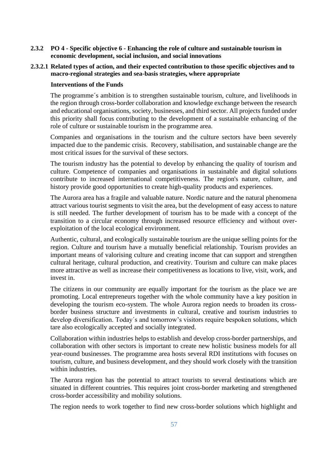- **2.3.2 PO 4 - Specific objective 6 - Enhancing the role of culture and sustainable tourism in economic development, social inclusion, and social innovations**
- **2.3.2.1 Related types of action, and their expected contribution to those specific objectives and to macro-regional strategies and sea-basis strategies, where appropriate**

#### **Interventions of the Funds**

The programme´s ambition is to strengthen sustainable tourism, culture, and livelihoods in the region through cross-border collaboration and knowledge exchange between the research and educational organisations, society, businesses, and third sector. All projects funded under this priority shall focus contributing to the development of a sustainable enhancing of the role of culture or sustainable tourism in the programme area.

Companies and organisations in the tourism and the culture sectors have been severely impacted due to the pandemic crisis. Recovery, stabilisation, and sustainable change are the most critical issues for the survival of these sectors.

The tourism industry has the potential to develop by enhancing the quality of tourism and culture. Competence of companies and organisations in sustainable and digital solutions contribute to increased international competitiveness. The region's nature, culture, and history provide good opportunities to create high-quality products and experiences.

The Aurora area has a fragile and valuable nature. Nordic nature and the natural phenomena attract various tourist segments to visit the area, but the development of easy access to nature is still needed. The further development of tourism has to be made with a concept of the transition to a circular economy through increased resource efficiency and without overexploitation of the local ecological environment.

Authentic, cultural, and ecologically sustainable tourism are the unique selling points for the region. Culture and tourism have a mutually beneficial relationship. Tourism provides an important means of valorising culture and creating income that can support and strengthen cultural heritage, cultural production, and creativity. Tourism and culture can make places more attractive as well as increase their competitiveness as locations to live, visit, work, and invest in.

The citizens in our community are equally important for the tourism as the place we are promoting. Local entrepreneurs together with the whole community have a key position in developing the tourism eco-system. The whole Aurora region needs to broaden its crossborder business structure and investments in cultural, creative and tourism industries to develop diversification. Today´s and tomorrow's visitors require bespoken solutions, which tare also ecologically accepted and socially integrated.

Collaboration within industries helps to establish and develop cross-border partnerships, and collaboration with other sectors is important to create new holistic business models for all year-round businesses. The programme area hosts several RDI institutions with focuses on tourism, culture, and business development, and they should work closely with the transition within industries.

The Aurora region has the potential to attract tourists to several destinations which are situated in different countries. This requires joint cross-border marketing and strengthened cross-border accessibility and mobility solutions.

The region needs to work together to find new cross-border solutions which highlight and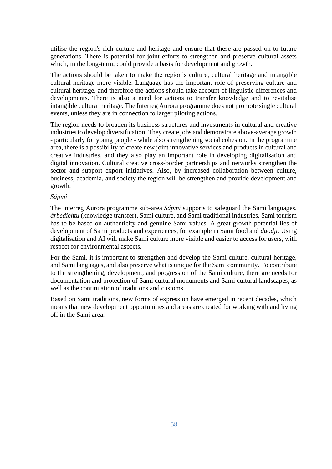utilise the region's rich culture and heritage and ensure that these are passed on to future generations. There is potential for joint efforts to strengthen and preserve cultural assets which, in the long-term, could provide a basis for development and growth.

The actions should be taken to make the region's culture, cultural heritage and intangible cultural heritage more visible. Language has the important role of preserving culture and cultural heritage, and therefore the actions should take account of linguistic differences and developments. There is also a need for actions to transfer knowledge and to revitalise intangible cultural heritage. The Interreg Aurora programme does not promote single cultural events, unless they are in connection to larger piloting actions.

The region needs to broaden its business structures and investments in cultural and creative industries to develop diversification. They create jobs and demonstrate above-average growth - particularly for young people - while also strengthening social cohesion. In the programme area, there is a possibility to create new joint innovative services and products in cultural and creative industries, and they also play an important role in developing digitalisation and digital innovation. Cultural creative cross-border partnerships and networks strengthen the sector and support export initiatives. Also, by increased collaboration between culture, business, academia, and society the region will be strengthen and provide development and growth.

#### *Sápmi*

The Interreg Aurora programme sub-area *Sápmi* supports to safeguard the Sami languages, *árbediehtu* (knowledge transfer), Sami culture, and Sami traditional industries. Sami tourism has to be based on authenticity and genuine Sami values. A great growth potential lies of development of Sami products and experiences, for example in Sami food and *duodji.* Using digitalisation and AI will make Sami culture more visible and easier to access for users, with respect for environmental aspects.

For the Sami, it is important to strengthen and develop the Sami culture, cultural heritage, and Sami languages, and also preserve what is unique for the Sami community. To contribute to the strengthening, development, and progression of the Sami culture, there are needs for documentation and protection of Sami cultural monuments and Sami cultural landscapes, as well as the continuation of traditions and customs.

Based on Sami traditions, new forms of expression have emerged in recent decades, which means that new development opportunities and areas are created for working with and living off in the Sami area.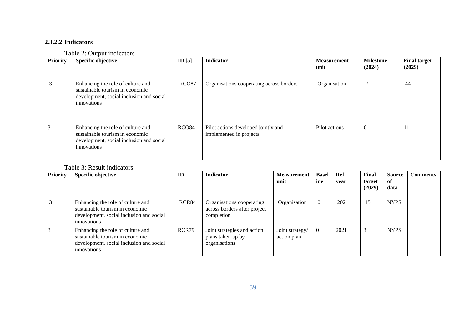### **2.3.2.2 Indicators**

### Table 2: Output indicators

| <b>Priority</b> | Specific objective                                                                                                              | ID $[5]$     | Indicator                                                      | <b>Measurement</b><br>unit | <b>Milestone</b><br>(2024) | <b>Final target</b><br>(2029) |
|-----------------|---------------------------------------------------------------------------------------------------------------------------------|--------------|----------------------------------------------------------------|----------------------------|----------------------------|-------------------------------|
| 3               | Enhancing the role of culture and<br>sustainable tourism in economic<br>development, social inclusion and social<br>innovations | <b>RCO87</b> | Organisations cooperating across borders                       | Organisation               | $\overline{c}$             | 44                            |
|                 | Enhancing the role of culture and<br>sustainable tourism in economic<br>development, social inclusion and social<br>innovations | RCO84        | Pilot actions developed jointly and<br>implemented in projects | Pilot actions              | $\Omega$                   | 11                            |

### Table 3: Result indicators

| <b>Priority</b> | <b>Specific objective</b>                                                                                                       | ID    | <b>Indicator</b>                                                        | <b>Measurement</b><br>unit     | <b>Basel</b><br>ine | Ref.<br>year | Final<br>target<br>(2029) | <b>Source</b><br>of<br>data | <b>Comments</b> |
|-----------------|---------------------------------------------------------------------------------------------------------------------------------|-------|-------------------------------------------------------------------------|--------------------------------|---------------------|--------------|---------------------------|-----------------------------|-----------------|
|                 | Enhancing the role of culture and<br>sustainable tourism in economic<br>development, social inclusion and social<br>innovations | RCR84 | Organisations cooperating<br>across borders after project<br>completion | Organisation                   | $\overline{0}$      | 2021         | 5                         | <b>NYPS</b>                 |                 |
|                 | Enhancing the role of culture and<br>sustainable tourism in economic<br>development, social inclusion and social<br>innovations | RCR79 | Joint strategies and action<br>plans taken up by<br>organisations       | Joint strategy/<br>action plan | $\overline{0}$      | 2021         |                           | <b>NYPS</b>                 |                 |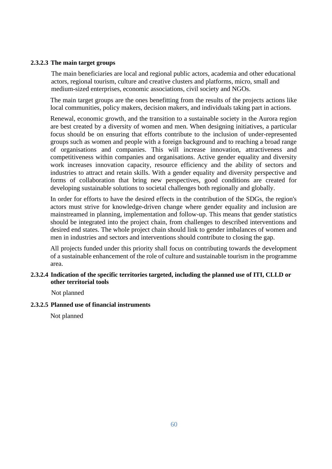#### **2.3.2.3 The main target groups**

The main beneficiaries are local and regional public actors, academia and other educational actors, regional tourism, culture and creative clusters and platforms, micro, small and medium-sized enterprises, economic associations, civil society and NGOs.

The main target groups are the ones benefitting from the results of the projects actions like local communities, policy makers, decision makers, and individuals taking part in actions.

Renewal, economic growth, and the transition to a sustainable society in the Aurora region are best created by a diversity of women and men. When designing initiatives, a particular focus should be on ensuring that efforts contribute to the inclusion of under-represented groups such as women and people with a foreign background and to reaching a broad range of organisations and companies. This will increase innovation, attractiveness and competitiveness within companies and organisations. Active gender equality and diversity work increases innovation capacity, resource efficiency and the ability of sectors and industries to attract and retain skills. With a gender equality and diversity perspective and forms of collaboration that bring new perspectives, good conditions are created for developing sustainable solutions to societal challenges both regionally and globally.

In order for efforts to have the desired effects in the contribution of the SDGs, the region's actors must strive for knowledge-driven change where gender equality and inclusion are mainstreamed in planning, implementation and follow-up. This means that gender statistics should be integrated into the project chain, from challenges to described interventions and desired end states. The whole project chain should link to gender imbalances of women and men in industries and sectors and interventions should contribute to closing the gap.

All projects funded under this priority shall focus on contributing towards the development of a sustainable enhancement of the role of culture and sustainable tourism in the programme area.

#### **2.3.2.4 Indication of the specific territories targeted, including the planned use of ITI, CLLD or other territorial tools**

Not planned

#### **2.3.2.5 Planned use of financial instruments**

Not planned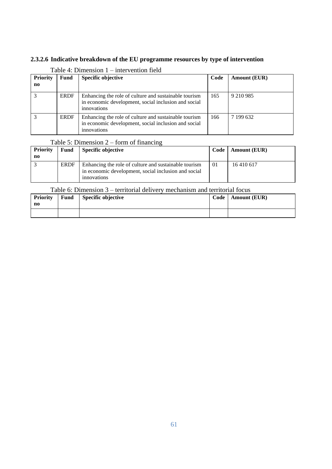### **2.3.2.6 Indicative breakdown of the EU programme resources by type of intervention**

| <b>Priority</b><br>$\mathbf{n}\mathbf{o}$ | Fund        | <b>Specific objective</b>                                                                                                    | Code | <b>Amount (EUR)</b> |
|-------------------------------------------|-------------|------------------------------------------------------------------------------------------------------------------------------|------|---------------------|
| 3                                         | <b>ERDF</b> | Enhancing the role of culture and sustainable tourism<br>in economic development, social inclusion and social<br>innovations | 165  | 9 210 9 85          |
|                                           | <b>ERDF</b> | Enhancing the role of culture and sustainable tourism<br>in economic development, social inclusion and social<br>innovations | 166  | 7 199 632           |

#### Table 4: Dimension 1 – intervention field

### Table 5: Dimension 2 – form of financing

| Priority | Fund        | Specific objective                                    | Code | <b>Amount (EUR)</b> |
|----------|-------------|-------------------------------------------------------|------|---------------------|
| no       |             |                                                       |      |                     |
|          | <b>ERDF</b> | Enhancing the role of culture and sustainable tourism | 01   | 16 410 617          |
|          |             | in economic development, social inclusion and social  |      |                     |
|          |             | innovations                                           |      |                     |

#### Table 6: Dimension 3 – territorial delivery mechanism and territorial focus

| <b>Priority</b><br>no | <b>Fund</b> | Specific objective | Code | <b>Amount (EUR)</b> |
|-----------------------|-------------|--------------------|------|---------------------|
|                       |             |                    |      |                     |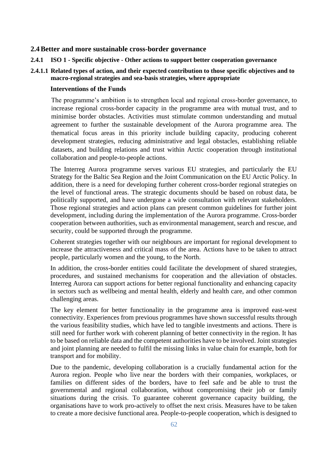#### **2.4Better and more sustainable cross-border governance**

**2.4.1 ISO 1 - Specific objective - Other actions to support better cooperation governance**

### **2.4.1.1 Related types of action, and their expected contribution to those specific objectives and to macro-regional strategies and sea-basis strategies, where appropriate**

#### **Interventions of the Funds**

The programme's ambition is to strengthen local and regional cross-border governance, to increase regional cross-border capacity in the programme area with mutual trust, and to minimise border obstacles. Activities must stimulate common understanding and mutual agreement to further the sustainable development of the Aurora programme area. The thematical focus areas in this priority include building capacity, producing coherent development strategies, reducing administrative and legal obstacles, establishing reliable datasets, and building relations and trust within Arctic cooperation through institutional collaboration and people-to-people actions.

The Interreg Aurora programme serves various EU strategies, and particularly the EU Strategy for the Baltic Sea Region and the Joint Communication on the EU Arctic Policy. In addition, there is a need for developing further coherent cross-border regional strategies on the level of functional areas. The strategic documents should be based on robust data, be politically supported, and have undergone a wide consultation with relevant stakeholders. Those regional strategies and action plans can present common guidelines for further joint development, including during the implementation of the Aurora programme. Cross-border cooperation between authorities, such as environmental management, search and rescue, and security, could be supported through the programme.

Coherent strategies together with our neighbours are important for regional development to increase the attractiveness and critical mass of the area. Actions have to be taken to attract people, particularly women and the young, to the North.

In addition, the cross-border entities could facilitate the development of shared strategies, procedures, and sustained mechanisms for cooperation and the alleviation of obstacles. Interreg Aurora can support actions for better regional functionality and enhancing capacity in sectors such as wellbeing and mental health, elderly and health care, and other common challenging areas.

The key element for better functionality in the programme area is improved east-west connectivity. Experiences from previous programmes have shown successful results through the various feasibility studies, which have led to tangible investments and actions. There is still need for further work with coherent planning of better connectivity in the region. It has to be based on reliable data and the competent authorities have to be involved. Joint strategies and joint planning are needed to fulfil the missing links in value chain for example, both for transport and for mobility.

Due to the pandemic, developing collaboration is a crucially fundamental action for the Aurora region. People who live near the borders with their companies, workplaces, or families on different sides of the borders, have to feel safe and be able to trust the governmental and regional collaboration, without compromising their job or family situations during the crisis. To guarantee coherent governance capacity building, the organisations have to work pro-actively to offset the next crisis. Measures have to be taken to create a more decisive functional area. People-to-people cooperation, which is designed to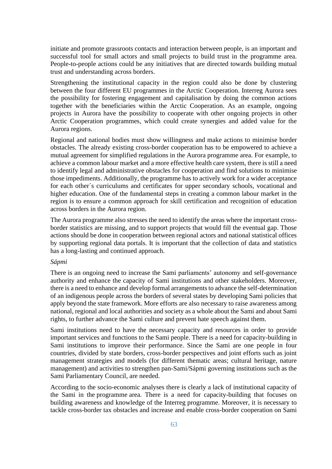initiate and promote grassroots contacts and interaction between people, is an important and successful tool for small actors and small projects to build trust in the programme area. People-to-people actions could be any initiatives that are directed towards building mutual trust and understanding across borders.

Strengthening the institutional capacity in the region could also be done by clustering between the four different EU programmes in the Arctic Cooperation. Interreg Aurora sees the possibility for fostering engagement and capitalisation by doing the common actions together with the beneficiaries within the Arctic Cooperation. As an example, ongoing projects in Aurora have the possibility to cooperate with other ongoing projects in other Arctic Cooperation programmes, which could create synergies and added value for the Aurora regions.

Regional and national bodies must show willingness and make actions to minimise border obstacles. The already existing cross-border cooperation has to be empowered to achieve a mutual agreement for simplified regulations in the Aurora programme area. For example, to achieve a common labour market and a more effective health care system, there is still a need to identify legal and administrative obstacles for cooperation and find solutions to minimise those impediments. Additionally, the programme has to actively work for a wider acceptance for each other´s curriculums and certificates for upper secondary schools, vocational and higher education. One of the fundamental steps in creating a common labour market in the region is to ensure a common approach for skill certification and recognition of education across borders in the Aurora region.

The Aurora programme also stresses the need to identify the areas where the important crossborder statistics are missing, and to support projects that would fill the eventual gap. Those actions should be done in cooperation between regional actors and national statistical offices by supporting regional data portals. It is important that the collection of data and statistics has a long-lasting and continued approach.

#### *Sápmi*

There is an ongoing need to increase the Sami parliaments' autonomy and self-governance authority and enhance the capacity of Sami institutions and other stakeholders. Moreover, there is a need to enhance and develop formal arrangements to advance the self-determination of an indigenous people across the borders of several states by developing Sami policies that apply beyond the state framework. More efforts are also necessary to raise awareness among national, regional and local authorities and society as a whole about the Sami and about Sami rights, to further advance the Sami culture and prevent hate speech against them.

Sami institutions need to have the necessary capacity and resources in order to provide important services and functions to the Sami people. There is a need for capacity-building in Sami institutions to improve their performance. Since the Sami are one people in four countries, divided by state borders, cross-border perspectives and joint efforts such as joint management strategies and models (for different thematic areas; cultural heritage, nature management) and activities to strengthen pan-Sami/Sápmi governing institutions such as the Sami Parliamentary Council, are needed.

According to the socio-economic analyses there is clearly a lack of institutional capacity of the Sami in the programme area. There is a need for capacity-building that focuses on building awareness and knowledge of the Interreg programme. Moreover, it is necessary to tackle cross-border tax obstacles and increase and enable cross-border cooperation on Sami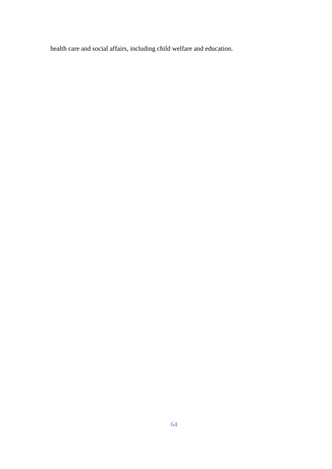health care and social affairs, including child welfare and education.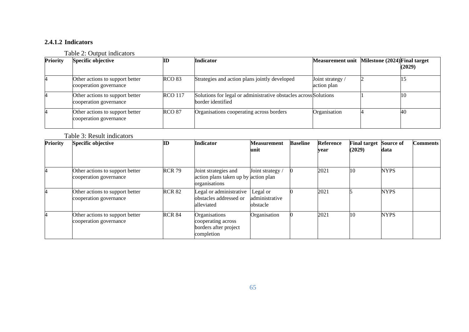### **2.4.1.2 Indicators**

### Table 2: Output indicators

| <b>Priority</b> | <b>Specific objective</b>                                 | ПD             | <b>Indicator</b>                                                                      | Measurement unit Milestone (2024) Final target | (2029)    |
|-----------------|-----------------------------------------------------------|----------------|---------------------------------------------------------------------------------------|------------------------------------------------|-----------|
|                 | Other actions to support better<br>cooperation governance | <b>RCO 83</b>  | Strategies and action plans jointly developed                                         | Joint strategy /<br>action plan                |           |
|                 | Other actions to support better<br>cooperation governance | <b>RCO</b> 117 | Solutions for legal or administrative obstacles across Solutions<br>border identified |                                                | <b>10</b> |
|                 | Other actions to support better<br>cooperation governance | <b>RCO 87</b>  | Organisations cooperating across borders                                              | Organisation                                   | 40        |

Table 3: Result indicators

| Priority | Specific objective                                        | ID            | <b>Indicator</b>                                                              | <b>Measurement</b><br>unit             | <b>Baseline</b> | <b>Reference</b><br>year | <b>Final target Source of</b><br>(2029) | data        | <b>Comments</b> |
|----------|-----------------------------------------------------------|---------------|-------------------------------------------------------------------------------|----------------------------------------|-----------------|--------------------------|-----------------------------------------|-------------|-----------------|
| 4        | Other actions to support better<br>cooperation governance | <b>RCR 79</b> | Joint strategies and<br>action plans taken up by action plan<br>organisations | Joint strategy /                       |                 | 2021                     | 10                                      | <b>NYPS</b> |                 |
| 4        | Other actions to support better<br>cooperation governance | <b>RCR 82</b> | Legal or administrative<br>obstacles addressed or<br>alleviated               | Legal or<br>administrative<br>obstacle |                 | 2021                     |                                         | <b>NYPS</b> |                 |
|          | Other actions to support better<br>cooperation governance | <b>RCR 84</b> | Organisations<br>cooperating across<br>borders after project<br>completion    | Organisation                           |                 | 2021                     | 10                                      | <b>NYPS</b> |                 |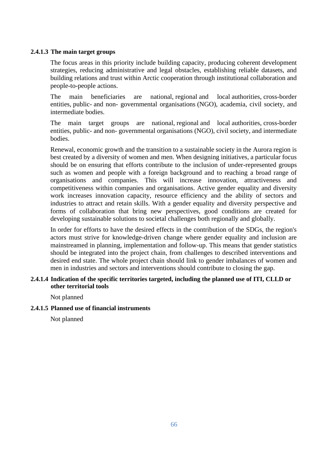#### **2.4.1.3 The main target groups**

The focus areas in this priority include building capacity, producing coherent development strategies, reducing administrative and legal obstacles, establishing reliable datasets, and building relations and trust within Arctic cooperation through institutional collaboration and people-to-people actions.

The main beneficiaries are national, regional and local authorities, cross-border entities, public- and non- governmental organisations (NGO), academia, civil society, and intermediate bodies.

The main target groups are national, regional and local authorities, cross-border entities, public- and non- governmental organisations (NGO), civil society, and intermediate bodies.

Renewal, economic growth and the transition to a sustainable society in the Aurora region is best created by a diversity of women and men. When designing initiatives, a particular focus should be on ensuring that efforts contribute to the inclusion of under-represented groups such as women and people with a foreign background and to reaching a broad range of organisations and companies. This will increase innovation, attractiveness and competitiveness within companies and organisations. Active gender equality and diversity work increases innovation capacity, resource efficiency and the ability of sectors and industries to attract and retain skills. With a gender equality and diversity perspective and forms of collaboration that bring new perspectives, good conditions are created for developing sustainable solutions to societal challenges both regionally and globally.

In order for efforts to have the desired effects in the contribution of the SDGs, the region's actors must strive for knowledge-driven change where gender equality and inclusion are mainstreamed in planning, implementation and follow-up. This means that gender statistics should be integrated into the project chain, from challenges to described interventions and desired end state. The whole project chain should link to gender imbalances of women and men in industries and sectors and interventions should contribute to closing the gap.

#### **2.4.1.4 Indication of the specific territories targeted, including the planned use of ITI, CLLD or other territorial tools**

Not planned

#### **2.4.1.5 Planned use of financial instruments**

Not planned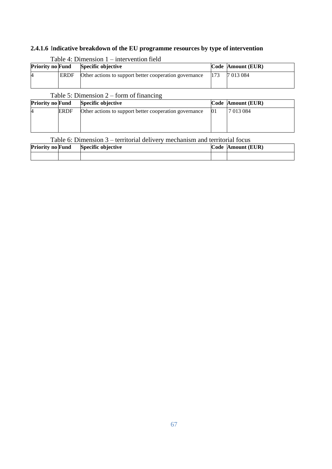# **2.4.1.6** I**ndicative breakdown of the EU programme resources by type of intervention**

|   | <b>Priority no Fund</b><br>Specific objective |                                                        |     | Code Amount (EUR) |
|---|-----------------------------------------------|--------------------------------------------------------|-----|-------------------|
| 4 | <b>ERDF</b>                                   | Other actions to support better cooperation governance | 173 | 7 013 084         |

### Table  $4$ : Dimension  $1$  – intervention field

### Table 5: Dimension 2 – form of financing

| <b>Priority no Fund</b> |             | Specific objective                                     | Code Amount (EUR) |
|-------------------------|-------------|--------------------------------------------------------|-------------------|
| 14                      | <b>ERDF</b> | Other actions to support better cooperation governance | 7 013 084         |
|                         |             |                                                        |                   |
|                         |             |                                                        |                   |

Table 6: Dimension 3 – territorial delivery mechanism and territorial focus

| <b>Priority no Fund</b> | <b>Specific objective</b> | Code Amount (EUR) |
|-------------------------|---------------------------|-------------------|
|                         |                           |                   |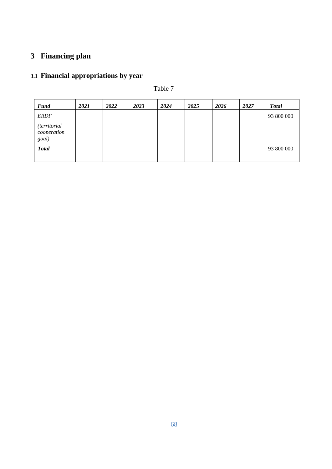# **3 Financing plan**

# **3.1 Financial appropriations by year**

### Table 7

| <b>Fund</b>                                 | 2021 | 2022 | 2023 | 2024 | 2025 | 2026 | 2027 | <b>Total</b> |
|---------------------------------------------|------|------|------|------|------|------|------|--------------|
| <b>ERDF</b>                                 |      |      |      |      |      |      |      | 93 800 000   |
| <i>(territorial</i><br>cooperation<br>goal) |      |      |      |      |      |      |      |              |
| <b>Total</b>                                |      |      |      |      |      |      |      | 93 800 000   |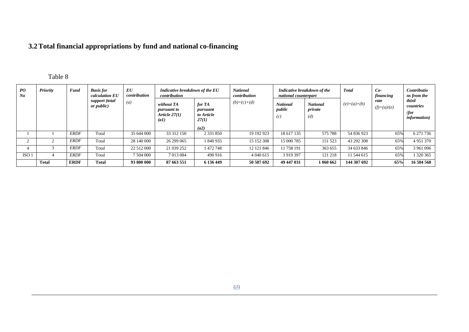# **3.2Total financial appropriations by fund and national co-financing**

## Table 8

| PO<br>No         | Priority     | <b>Fund</b> | <b>Basis for</b><br>calculation EU<br>support (total<br>or public) | $\bm{E}\bm{U}$<br>contribution<br>$\left(a\right)$ | Indicative breakdown of the EU<br>contribution                            |                                           | <b>National</b><br>contribution | Indicative breakdown of the<br>national counterpart |                                   | <b>Total</b>  | $Co-$<br>financing    | Contributio<br>ns from the                         |
|------------------|--------------|-------------|--------------------------------------------------------------------|----------------------------------------------------|---------------------------------------------------------------------------|-------------------------------------------|---------------------------------|-----------------------------------------------------|-----------------------------------|---------------|-----------------------|----------------------------------------------------|
|                  |              |             |                                                                    |                                                    | without TA<br><i>pursuant to</i><br>Article $27(1)$<br>$\left( a1\right)$ | for TA<br>pursuant<br>to Article<br>27(1) | $(b)=(c)+(d)$                   | <b>National</b><br>public<br>(c)                    | <b>National</b><br>private<br>(d) | $(e)=(a)+(b)$ | rate<br>$(f)=(a)/(e)$ | third<br>countries<br>(for<br><i>information</i> ) |
|                  |              |             |                                                                    |                                                    |                                                                           | (a2)                                      |                                 |                                                     |                                   |               |                       |                                                    |
|                  |              | <i>ERDF</i> | Total                                                              | 35 644 000                                         | 33 312 150                                                                | 2 3 3 1 8 5 0                             | 19 19 29 23                     | 18 617 135                                          | 575 788                           | 54 836 923    | 65%                   | 6 271 736                                          |
|                  |              | <i>ERDF</i> | Total                                                              | 28 140 000                                         | 26 299 065                                                                | 840 935                                   | 15 152 308                      | 15 000 785                                          | 151 523                           | 43 292 308    | 65%                   | 4 9 5 1 3 7 0                                      |
|                  |              | ERDF        | Total                                                              | 22 512 000                                         | 21 039 252                                                                | 472 748                                   | 12 121 846                      | 11 758 191                                          | 363 655                           | 34 633 846    | 65%                   | 3 961 096                                          |
| ISO <sub>1</sub> |              | ERDF        | Total                                                              | 7 504 000                                          | 7 013 084                                                                 | 490 916                                   | 4 040 615                       | 3 9 19 3 9 7                                        | 121 218                           | 11 544 615    | 65%                   | 320 365                                            |
|                  | <b>Total</b> | <b>ERDF</b> | <b>Total</b>                                                       | 93 800 000                                         | 87 663 551                                                                | 6 136 449                                 | 50 507 692                      | 49 447 031                                          | 1 060 662                         | 144 307 692   | 65%                   | 16 504 568                                         |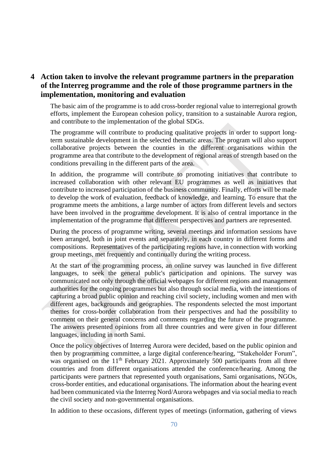### **4 Action taken to involve the relevant programme partners in the preparation of the Interreg programme and the role of those programme partners in the implementation, monitoring and evaluation**

The basic aim of the programme is to add cross-border regional value to interregional growth efforts, implement the European cohesion policy, transition to a sustainable Aurora region, and contribute to the implementation of the global SDGs.

The programme will contribute to producing qualitative projects in order to support longterm sustainable development in the selected thematic areas. The program will also support collaborative projects between the counties in the different organisations within the programme area that contribute to the development of regional areas of strength based on the conditions prevailing in the different parts of the area.

In addition, the programme will contribute to promoting initiatives that contribute to increased collaboration with other relevant EU programmes as well as initiatives that contribute to increased participation of the business community. Finally, efforts will be made to develop the work of evaluation, feedback of knowledge, and learning. To ensure that the programme meets the ambitions, a large number of actors from different levels and sectors have been involved in the programme development. It is also of central importance in the implementation of the programme that different perspectives and partners are represented.

During the process of programme writing, several meetings and information sessions have been arranged, both in joint events and separately, in each country in different forms and compositions. Representatives of the participating regions have, in connection with working group meetings, met frequently and continually during the writing process.

At the start of the programming process, an online survey was launched in five different languages, to seek the general public's participation and opinions. The survey was communicated not only through the official webpages for different regions and management authorities for the ongoing programmes but also through social media, with the intentions of capturing a broad public opinion and reaching civil society, including women and men with different ages, backgrounds and geographies. The respondents selected the most important themes for cross-border collaboration from their perspectives and had the possibility to comment on their general concerns and comments regarding the future of the programme. The answers presented opinions from all three countries and were given in four different languages, including in north Sami.

Once the policy objectives of Interreg Aurora were decided, based on the public opinion and then by programming committee, a large digital conference/hearing, "Stakeholder Forum", was organised on the 11<sup>th</sup> February 2021. Approximately 500 participants from all three countries and from different organisations attended the conference/hearing. Among the participants were partners that represented youth organisations, Sami organisations, NGOs, cross-border entities, and educational organisations. The information about the hearing event had been communicated via the Interreg Nord/Aurora webpages and via social media to reach the civil society and non-governmental organisations.

In addition to these occasions, different types of meetings (information, gathering of views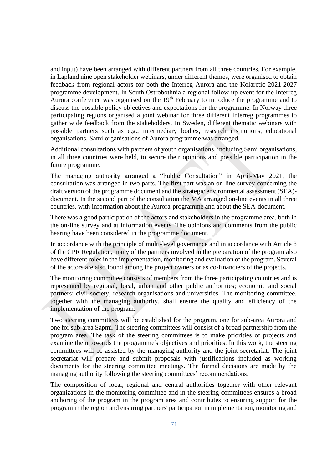and input) have been arranged with different partners from all three countries. For example, in Lapland nine open stakeholder webinars, under different themes, were organised to obtain feedback from regional actors for both the Interreg Aurora and the Kolarctic 2021-2027 programme development. In South Ostrobothnia a regional follow-up event for the Interreg Aurora conference was organised on the 19<sup>th</sup> February to introduce the programme and to discuss the possible policy objectives and expectations for the programme. In Norway three participating regions organised a joint webinar for three different Interreg programmes to gather wide feedback from the stakeholders. In Sweden, different thematic webinars with possible partners such as e.g., intermediary bodies, research institutions, educational organisations, Sami organisations of Aurora programme was arranged.

Additional consultations with partners of youth organisations, including Sami organisations, in all three countries were held, to secure their opinions and possible participation in the future programme.

The managing authority arranged a "Public Consultation" in April-May 2021, the consultation was arranged in two parts. The first part was an on-line survey concerning the draft version of the programme document and the strategic environmental assessment (SEA) document. In the second part of the consultation the MA arranged on-line events in all three countries, with information about the Aurora-programme and about the SEA-document.

There was a good participation of the actors and stakeholders in the programme area, both in the on-line survey and at information events. The opinions and comments from the public hearing have been considered in the programme document.

In accordance with the principle of multi-level governance and in accordance with Article 8 of the CPR Regulation, many of the partners involved in the preparation of the program also have different roles in the implementation, monitoring and evaluation of the program. Several of the actors are also found among the project owners or as co-financiers of the projects.

The monitoring committee consists of members from the three participating countries and is represented by regional, local, urban and other public authorities; economic and social partners; civil society; research organisations and universities. The monitoring committee, together with the managing authority, shall ensure the quality and efficiency of the implementation of the program.

Two steering committees will be established for the program, one for sub-area Aurora and one for sub-area Sápmi. The steering committees will consist of a broad partnership from the program area. The task of the steering committees is to make priorities of projects and examine them towards the programme's objectives and priorities. In this work, the steering committees will be assisted by the managing authority and the joint secretariat. The joint secretariat will prepare and submit proposals with justifications included as working documents for the steering committee meetings. The formal decisions are made by the managing authority following the steering committees' recommendations.

The composition of local, regional and central authorities together with other relevant organizations in the monitoring committee and in the steering committees ensures a broad anchoring of the program in the program area and contributes to ensuring support for the program in the region and ensuring partners' participation in implementation, monitoring and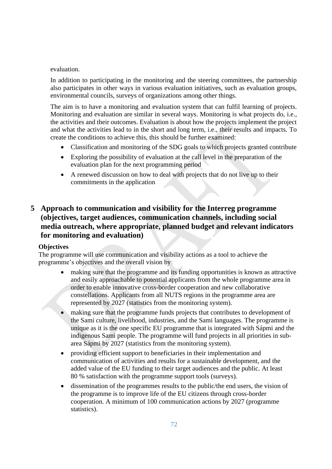### evaluation.

In addition to participating in the monitoring and the steering committees, the partnership also participates in other ways in various evaluation initiatives, such as evaluation groups, environmental councils, surveys of organizations among other things.

The aim is to have a monitoring and evaluation system that can fulfil learning of projects. Monitoring and evaluation are similar in several ways. Monitoring is what projects do, i.e., the activities and their outcomes. Evaluation is about how the projects implement the project and what the activities lead to in the short and long term, i.e., their results and impacts. To create the conditions to achieve this, this should be further examined:

- Classification and monitoring of the SDG goals to which projects granted contribute
- Exploring the possibility of evaluation at the call level in the preparation of the evaluation plan for the next programming period
- A renewed discussion on how to deal with projects that do not live up to their commitments in the application

# **5 Approach to communication and visibility for the Interreg programme (objectives, target audiences, communication channels, including social media outreach, where appropriate, planned budget and relevant indicators for monitoring and evaluation)**

### **Objectives**

The programme will use communication and visibility actions as a tool to achieve the programme's objectives and the overall vision by:

- making sure that the programme and its funding opportunities is known as attractive and easily approachable to potential applicants from the whole programme area in order to enable innovative cross-border cooperation and new collaborative constellations. Applicants from all NUTS regions in the programme area are represented by 2027 (statistics from the monitoring system).
- making sure that the programme funds projects that contributes to development of the Sami culture, livelihood, industries, and the Sami languages. The programme is unique as it is the one specific EU programme that is integrated with Sápmi and the indigenous Sami people. The programme will fund projects in all priorities in subarea Sápmi by 2027 (statistics from the monitoring system).
- providing efficient support to beneficiaries in their implementation and communication of activities and results for a sustainable development, and the added value of the EU funding to their target audiences and the public. At least 80 % satisfaction with the programme support tools (surveys).
- dissemination of the programmes results to the public/the end users, the vision of the programme is to improve life of the EU citizens through cross-border cooperation. A minimum of 100 communication actions by 2027 (programme statistics).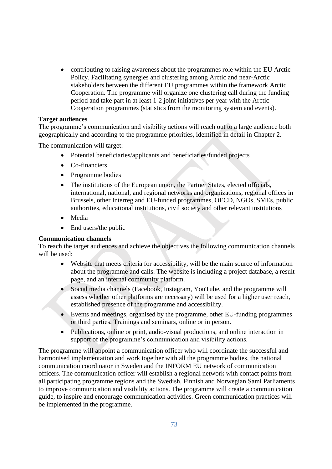• contributing to raising awareness about the programmes role within the EU Arctic Policy. Facilitating synergies and clustering among Arctic and near-Arctic stakeholders between the different EU programmes within the framework Arctic Cooperation. The programme will organize one clustering call during the funding period and take part in at least 1-2 joint initiatives per year with the Arctic Cooperation programmes (statistics from the monitoring system and events).

### **Target audiences**

The programme's communication and visibility actions will reach out to a large audience both geographically and according to the programme priorities, identified in detail in Chapter 2.

The communication will target:

- Potential beneficiaries/applicants and beneficiaries/funded projects
- Co-financiers
- Programme bodies
- The institutions of the European union, the Partner States, elected officials, international, national, and regional networks and organizations, regional offices in Brussels, other Interreg and EU-funded programmes, OECD, NGOs, SMEs, public authorities, educational institutions, civil society and other relevant institutions
- Media
- End users/the public

#### **Communication channels**

To reach the target audiences and achieve the objectives the following communication channels will be used:

- Website that meets criteria for accessibility, will be the main source of information about the programme and calls. The website is including a project database, a result page, and an internal community platform.
- Social media channels (Facebook, Instagram, YouTube, and the programme will assess whether other platforms are necessary) will be used for a higher user reach, established presence of the programme and accessibility.
- Events and meetings, organised by the programme, other EU-funding programmes or third parties. Trainings and seminars, online or in person.
- Publications, online or print, audio-visual productions, and online interaction in support of the programme's communication and visibility actions.

The programme will appoint a communication officer who will coordinate the successful and harmonised implementation and work together with all the programme bodies, the national communication coordinator in Sweden and the INFORM EU network of communication officers. The communication officer will establish a regional network with contact points from all participating programme regions and the Swedish, Finnish and Norwegian Sami Parliaments to improve communication and visibility actions. The programme will create a communication guide, to inspire and encourage communication activities. Green communication practices will be implemented in the programme.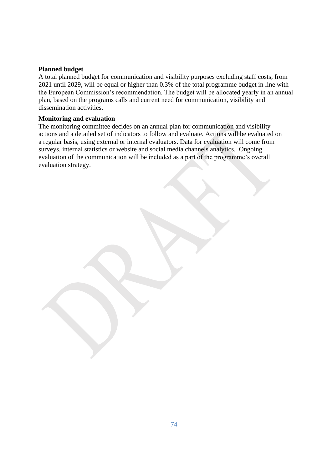### **Planned budget**

A total planned budget for communication and visibility purposes excluding staff costs, from 2021 until 2029, will be equal or higher than 0.3% of the total programme budget in line with the European Commission's recommendation. The budget will be allocated yearly in an annual plan, based on the programs calls and current need for communication, visibility and dissemination activities.

#### **Monitoring and evaluation**

The monitoring committee decides on an annual plan for communication and visibility actions and a detailed set of indicators to follow and evaluate. Actions will be evaluated on a regular basis, using external or internal evaluators. Data for evaluation will come from surveys, internal statistics or website and social media channels analytics. Ongoing evaluation of the communication will be included as a part of the programme's overall evaluation strategy.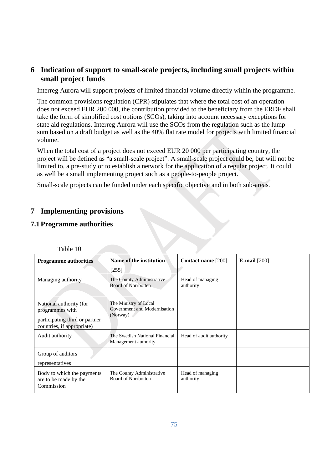# **6 Indication of support to small-scale projects, including small projects within small project funds**

Interreg Aurora will support projects of limited financial volume directly within the programme.

The common provisions regulation (CPR) stipulates that where the total cost of an operation does not exceed EUR 200 000, the contribution provided to the beneficiary from the ERDF shall take the form of simplified cost options (SCOs), taking into account necessary exceptions for state aid regulations. Interreg Aurora will use the SCOs from the regulation such as the lump sum based on a draft budget as well as the 40% flat rate model for projects with limited financial volume.

When the total cost of a project does not exceed EUR 20 000 per participating country, the project will be defined as "a small-scale project". A small-scale project could be, but will not be limited to, a pre-study or to establish a network for the application of a regular project. It could as well be a small implementing project such as a people-to-people project.

Small-scale projects can be funded under each specific objective and in both sub-areas*.*

# **7 Implementing provisions**

### **7.1Programme authorities**

| <b>Programme authorities</b>                                                                               | Name of the institution                                           | Contact name [200]            | E-mail $[200]$ |
|------------------------------------------------------------------------------------------------------------|-------------------------------------------------------------------|-------------------------------|----------------|
|                                                                                                            | [255]                                                             |                               |                |
| Managing authority                                                                                         | The County Administrative<br><b>Board of Norrbotten</b>           | Head of managing<br>authority |                |
| National authority (for<br>programmes with<br>participating third or partner<br>countries, if appropriate) | The Ministry of Local<br>Government and Modernisation<br>(Norway) |                               |                |
| Audit authority                                                                                            | The Swedish National Financial<br>Management authority            | Head of audit authority       |                |
| Group of auditors<br>representatives                                                                       |                                                                   |                               |                |
| Body to which the payments<br>are to be made by the<br>Commission                                          | The County Administrative<br><b>Board of Norrbotten</b>           | Head of managing<br>authority |                |

Table 10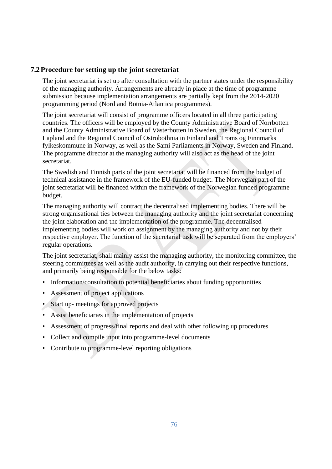## **7.2Procedure for setting up the joint secretariat**

The joint secretariat is set up after consultation with the partner states under the responsibility of the managing authority. Arrangements are already in place at the time of programme submission because implementation arrangements are partially kept from the 2014-2020 programming period (Nord and Botnia-Atlantica programmes).

The joint secretariat will consist of programme officers located in all three participating countries. The officers will be employed by the County Administrative Board of Norrbotten and the County Administrative Board of Västerbotten in Sweden, the Regional Council of Lapland and the Regional Council of Ostrobothnia in Finland and Troms og Finnmarks fylkeskommune in Norway, as well as the Sami Parliaments in Norway, Sweden and Finland. The programme director at the managing authority will also act as the head of the joint secretariat.

The Swedish and Finnish parts of the joint secretariat will be financed from the budget of technical assistance in the framework of the EU-funded budget. The Norwegian part of the joint secretariat will be financed within the framework of the Norwegian funded programme budget.

The managing authority will contract the decentralised implementing bodies. There will be strong organisational ties between the managing authority and the joint secretariat concerning the joint elaboration and the implementation of the programme. The decentralised implementing bodies will work on assignment by the managing authority and not by their respective employer. The function of the secretarial task will be separated from the employers' regular operations.

The joint secretariat, shall mainly assist the managing authority, the monitoring committee, the steering committees as well as the audit authority, in carrying out their respective functions, and primarily being responsible for the below tasks:

- Information/consultation to potential beneficiaries about funding opportunities
- Assessment of project applications
- Start up- meetings for approved projects
- Assist beneficiaries in the implementation of projects
- Assessment of progress/final reports and deal with other following up procedures
- Collect and compile input into programme-level documents
- Contribute to programme-level reporting obligations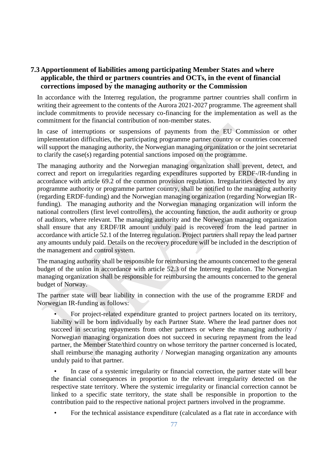## **7.3Apportionment of liabilities among participating Member States and where applicable, the third or partners countries and OCTs, in the event of financial corrections imposed by the managing authority or the Commission**

In accordance with the Interreg regulation, the programme partner countries shall confirm in writing their agreement to the contents of the Aurora 2021-2027 programme. The agreement shall include commitments to provide necessary co-financing for the implementation as well as the commitment for the financial contribution of non-member states.

In case of interruptions or suspensions of payments from the EU Commission or other implementation difficulties, the participating programme partner country or countries concerned will support the managing authority, the Norwegian managing organization or the joint secretariat to clarify the case(s) regarding potential sanctions imposed on the programme.

The managing authority and the Norwegian managing organization shall prevent, detect, and correct and report on irregularities regarding expenditures supported by ERDF-/IR-funding in accordance with article 69.2 of the common provision regulation. Irregularities detected by any programme authority or programme partner country, shall be notified to the managing authority (regarding ERDF-funding) and the Norwegian managing organization (regarding Norwegian IRfunding). The managing authority and the Norwegian managing organization will inform the national controllers (first level controllers), the accounting function, the audit authority or group of auditors, where relevant. The managing authority and the Norwegian managing organization shall ensure that any ERDF/IR amount unduly paid is recovered from the lead partner in accordance with article 52.1 of the Interreg regulation. Project partners shall repay the lead partner any amounts unduly paid. Details on the recovery procedure will be included in the description of the management and control system.

The managing authority shall be responsible for reimbursing the amounts concerned to the general budget of the union in accordance with article 52.3 of the Interreg regulation. The Norwegian managing organization shall be responsible for reimbursing the amounts concerned to the general budget of Norway.

The partner state will bear liability in connection with the use of the programme ERDF and Norwegian IR-funding as follows:

• For project-related expenditure granted to project partners located on its territory, liability will be born individually by each Partner State. Where the lead partner does not succeed in securing repayments from other partners or where the managing authority / Norwegian managing organization does not succeed in securing repayment from the lead partner, the Member State/third country on whose territory the partner concerned is located, shall reimburse the managing authority / Norwegian managing organization any amounts unduly paid to that partner.

In case of a systemic irregularity or financial correction, the partner state will bear the financial consequences in proportion to the relevant irregularity detected on the respective state territory. Where the systemic irregularity or financial correction cannot be linked to a specific state territory, the state shall be responsible in proportion to the contribution paid to the respective national project partners involved in the programme.

• For the technical assistance expenditure (calculated as a flat rate in accordance with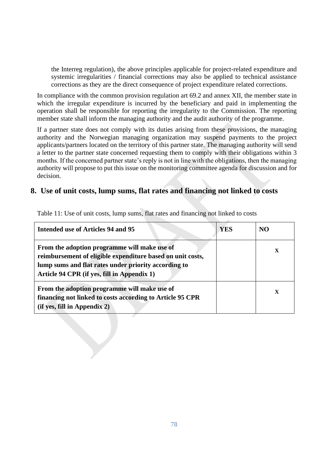the Interreg regulation), the above principles applicable for project-related expenditure and systemic irregularities / financial corrections may also be applied to technical assistance corrections as they are the direct consequence of project expenditure related corrections.

In compliance with the common provision regulation art 69.2 and annex XII, the member state in which the irregular expenditure is incurred by the beneficiary and paid in implementing the operation shall be responsible for reporting the irregularity to the Commission. The reporting member state shall inform the managing authority and the audit authority of the programme.

If a partner state does not comply with its duties arising from these provisions, the managing authority and the Norwegian managing organization may suspend payments to the project applicants/partners located on the territory of this partner state. The managing authority will send a letter to the partner state concerned requesting them to comply with their obligations within 3 months. If the concerned partner state's reply is not in line with the obligations, then the managing authority will propose to put this issue on the monitoring committee agenda for discussion and for decision.

# **8. Use of unit costs, lump sums, flat rates and financing not linked to costs**

| Intended use of Articles 94 and 95                                                                                                                                                                                | YES | N <sub>O</sub> |
|-------------------------------------------------------------------------------------------------------------------------------------------------------------------------------------------------------------------|-----|----------------|
| From the adoption programme will make use of<br>reimbursement of eligible expenditure based on unit costs,<br>lump sums and flat rates under priority according to<br>Article 94 CPR (if yes, fill in Appendix 1) |     | X              |
| From the adoption programme will make use of<br>financing not linked to costs according to Article 95 CPR<br>(if yes, fill in Appendix 2)                                                                         |     | X              |

Table 11: Use of unit costs, lump sums, flat rates and financing not linked to costs